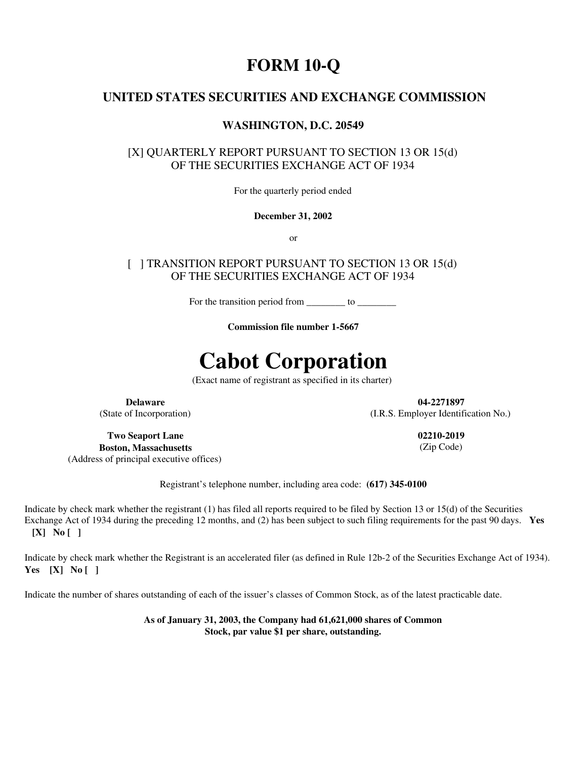## **FORM 10-Q**

## **UNITED STATES SECURITIES AND EXCHANGE COMMISSION**

## **WASHINGTON, D.C. 20549**

## [X] QUARTERLY REPORT PURSUANT TO SECTION 13 OR 15(d) OF THE SECURITIES EXCHANGE ACT OF 1934

For the quarterly period ended

## **December 31, 2002**

or

## [ ] TRANSITION REPORT PURSUANT TO SECTION 13 OR 15(d) OF THE SECURITIES EXCHANGE ACT OF 1934

For the transition period from to

**Commission file number 1-5667**

# **Cabot Corporation**

(Exact name of registrant as specified in its charter)

**Delaware** (State of Incorporation)

**Two Seaport Lane Boston, Massachusetts** (Address of principal executive offices)

Registrant's telephone number, including area code: **(617) 345-0100**

Indicate by check mark whether the registrant (1) has filed all reports required to be filed by Section 13 or 15(d) of the Securities Exchange Act of 1934 during the preceding 12 months, and (2) has been subject to such filing requirements for the past 90 days. **Yes [X] No [ ]**

Indicate by check mark whether the Registrant is an accelerated filer (as defined in Rule 12b-2 of the Securities Exchange Act of 1934). **Yes [X] No [ ]**

Indicate the number of shares outstanding of each of the issuer's classes of Common Stock, as of the latest practicable date.

**As of January 31, 2003, the Company had 61,621,000 shares of Common Stock, par value \$1 per share, outstanding.**

(I.R.S. Employer Identification No.) **02210-2019**

**04-2271897**

(Zip Code)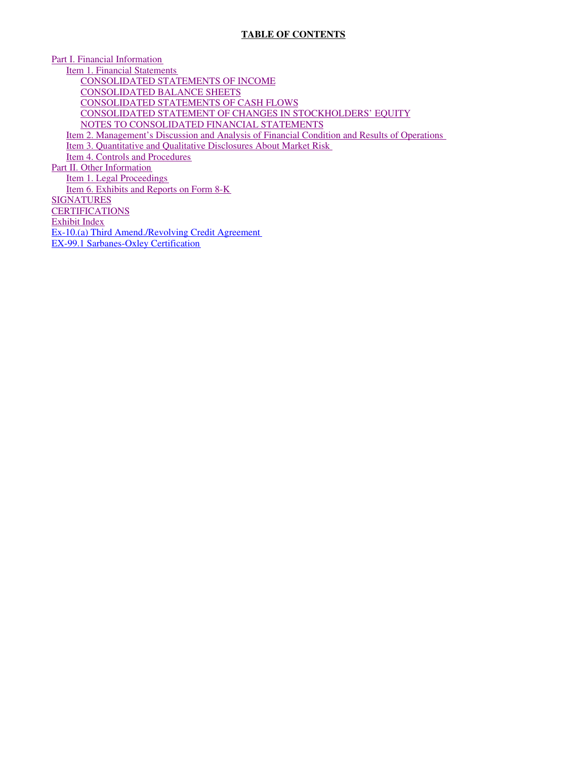## **TABLE OF CONTENTS**

Part I. Financial Information Item 1. Financial Statements CONSOLIDATED STATEMENTS OF INCOME CONSOLIDATED BALANCE SHEETS CONSOLIDATED STATEMENTS OF CASH FLOWS CONSOLIDATED STATEMENT OF CHANGES IN STOCKHOLDERS' EQUITY NOTES TO CONSOLIDATED FINANCIAL STATEMENTS Item 2. Management's Discussion and Analysis of Financial Condition and Results of Operations Item 3. Quantitative and Qualitative Disclosures About Market Risk Item 4. Controls and Procedures Part II. Other Information Item 1. Legal Proceedings Item 6. Exhibits and Reports on Form 8-K **SIGNATURES CERTIFICATIONS** Exhibit Index Ex-10.(a) Third Amend./Revolving Credit Agreement EX-99.1 Sarbanes-Oxley Certification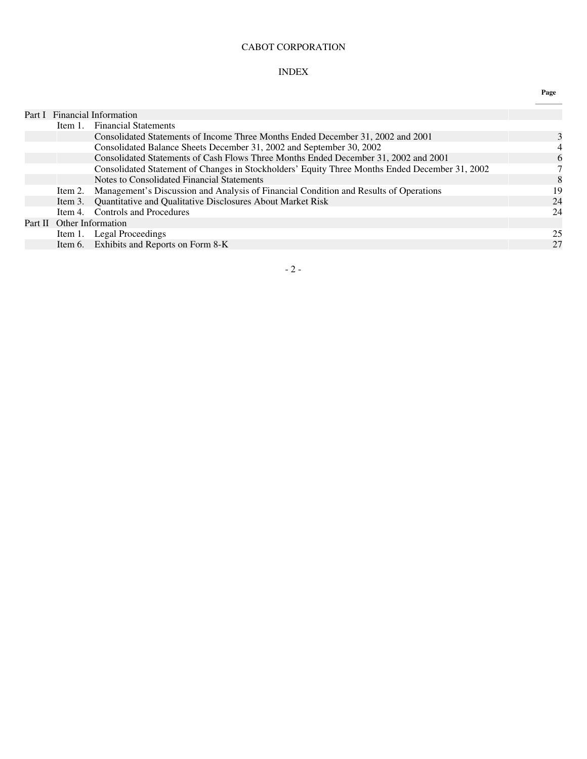## CABOT CORPORATION

## INDEX

**Page**

|                                                                      | Part I Financial Information                                                                   |    |  |  |
|----------------------------------------------------------------------|------------------------------------------------------------------------------------------------|----|--|--|
|                                                                      | Item 1. Financial Statements                                                                   |    |  |  |
|                                                                      | Consolidated Statements of Income Three Months Ended December 31, 2002 and 2001                |    |  |  |
| Consolidated Balance Sheets December 31, 2002 and September 30, 2002 |                                                                                                |    |  |  |
|                                                                      | Consolidated Statements of Cash Flows Three Months Ended December 31, 2002 and 2001            | 6  |  |  |
|                                                                      | Consolidated Statement of Changes in Stockholders' Equity Three Months Ended December 31, 2002 |    |  |  |
|                                                                      | Notes to Consolidated Financial Statements                                                     | 8  |  |  |
|                                                                      | Item 2. Management's Discussion and Analysis of Financial Condition and Results of Operations  | 19 |  |  |
|                                                                      | Item 3. Quantitative and Qualitative Disclosures About Market Risk                             | 24 |  |  |
|                                                                      | Item 4. Controls and Procedures                                                                | 24 |  |  |
|                                                                      | Part II Other Information                                                                      |    |  |  |
|                                                                      | Item 1. Legal Proceedings                                                                      | 25 |  |  |
|                                                                      | Item 6. Exhibits and Reports on Form 8-K                                                       | 27 |  |  |
|                                                                      |                                                                                                |    |  |  |

## - 2 -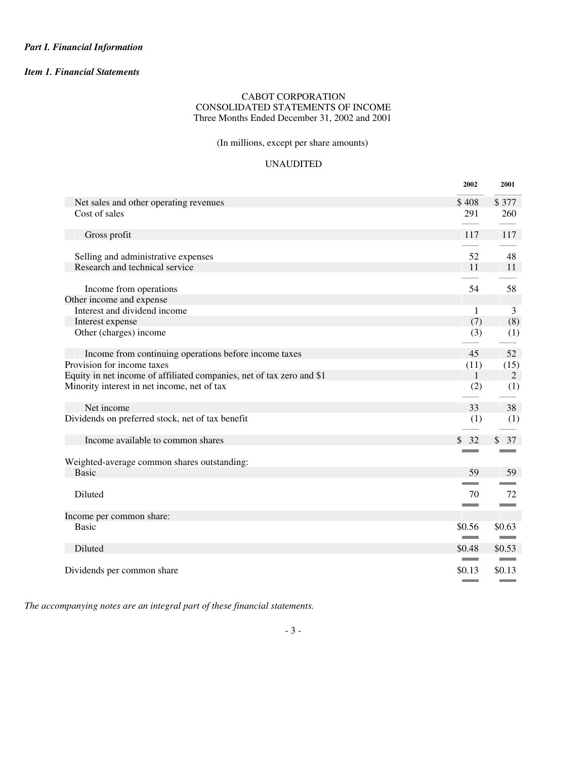## *Item 1. Financial Statements*

## CABOT CORPORATION CONSOLIDATED STATEMENTS OF INCOME Three Months Ended December 31, 2002 and 2001

(In millions, except per share amounts)

## UNAUDITED

|                                                                       | 2002                   | 2001           |
|-----------------------------------------------------------------------|------------------------|----------------|
| Net sales and other operating revenues                                | \$408                  | \$377          |
| Cost of sales                                                         | 291                    | 260            |
| Gross profit                                                          | 117                    | 117            |
| Selling and administrative expenses                                   | 52                     | 48             |
| Research and technical service                                        | 11                     | 11             |
| Income from operations                                                | 54                     | 58             |
| Other income and expense                                              |                        |                |
| Interest and dividend income                                          | 1                      | 3              |
| Interest expense                                                      | (7)                    | (8)            |
| Other (charges) income                                                | (3)                    | (1)            |
| Income from continuing operations before income taxes                 | 45                     | 52             |
| Provision for income taxes                                            | (11)                   | (15)           |
| Equity in net income of affiliated companies, net of tax zero and \$1 | $\mathbf{1}$           | $\overline{2}$ |
| Minority interest in net income, net of tax                           | (2)                    | (1)            |
| Net income                                                            | 33                     | 38             |
| Dividends on preferred stock, net of tax benefit                      | (1)                    | (1)            |
| Income available to common shares                                     | \$<br>32               | 37             |
| Weighted-average common shares outstanding:                           |                        |                |
| <b>Basic</b>                                                          | 59                     | 59             |
| Diluted                                                               | 70                     | 72             |
| Income per common share:                                              |                        |                |
| <b>Basic</b>                                                          | \$0.56<br><b>STATE</b> | \$0.63         |
| Diluted                                                               | \$0.48                 | \$0.53         |
| Dividends per common share                                            | \$0.13                 | \$0.13         |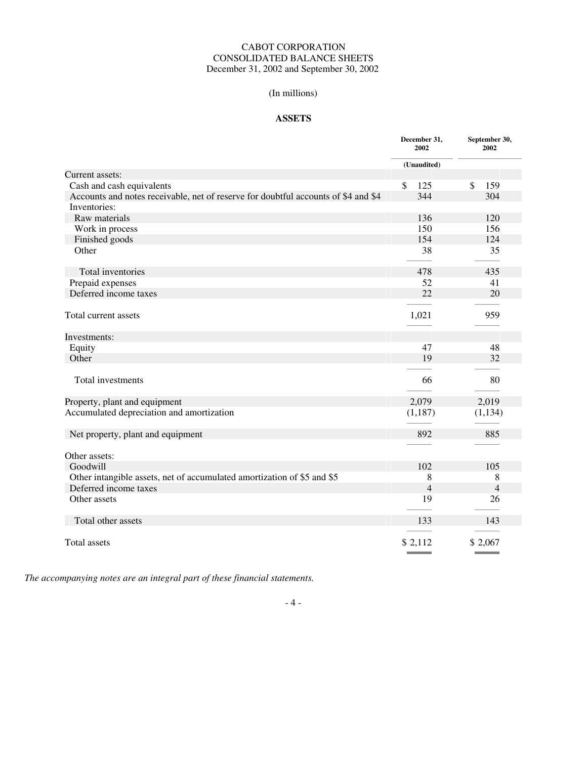## CABOT CORPORATION CONSOLIDATED BALANCE SHEETS December 31, 2002 and September 30, 2002

## (In millions)

## **ASSETS**

|                                                                                                    | December 31,<br>2002 | September 30,<br>2002 |  |
|----------------------------------------------------------------------------------------------------|----------------------|-----------------------|--|
|                                                                                                    | (Unaudited)          |                       |  |
| Current assets:                                                                                    |                      |                       |  |
| Cash and cash equivalents                                                                          | \$<br>125            | \$<br>159             |  |
| Accounts and notes receivable, net of reserve for doubtful accounts of \$4 and \$4<br>Inventories: | 344                  | 304                   |  |
| Raw materials                                                                                      | 136                  | 120                   |  |
|                                                                                                    | 150                  | 156                   |  |
| Work in process                                                                                    | 154                  | 124                   |  |
| Finished goods<br>Other                                                                            | 38                   | 35                    |  |
|                                                                                                    |                      |                       |  |
| Total inventories                                                                                  | 478                  | 435                   |  |
| Prepaid expenses                                                                                   | 52                   | 41                    |  |
| Deferred income taxes                                                                              | 22                   | 20                    |  |
|                                                                                                    |                      |                       |  |
| Total current assets                                                                               | 1,021                | 959                   |  |
| Investments:                                                                                       |                      |                       |  |
| Equity                                                                                             | 47                   | 48                    |  |
| Other                                                                                              | 19                   | 32                    |  |
|                                                                                                    |                      |                       |  |
| Total investments                                                                                  | 66                   | 80                    |  |
| Property, plant and equipment                                                                      | 2,079                | 2,019                 |  |
| Accumulated depreciation and amortization                                                          | (1,187)              | (1, 134)              |  |
| Net property, plant and equipment                                                                  | 892                  | 885                   |  |
|                                                                                                    |                      |                       |  |
| Other assets:                                                                                      |                      |                       |  |
| Goodwill                                                                                           | 102                  | 105                   |  |
| Other intangible assets, net of accumulated amortization of \$5 and \$5                            | 8                    | $\,$ 8 $\,$           |  |
| Deferred income taxes                                                                              | $\overline{4}$       | $\overline{4}$        |  |
| Other assets                                                                                       | 19                   | 26                    |  |
| Total other assets                                                                                 | 133                  | 143                   |  |
|                                                                                                    |                      |                       |  |
| Total assets                                                                                       | \$2,112              | \$2,067               |  |

*The accompanying notes are an integral part of these financial statements.*

- 4 -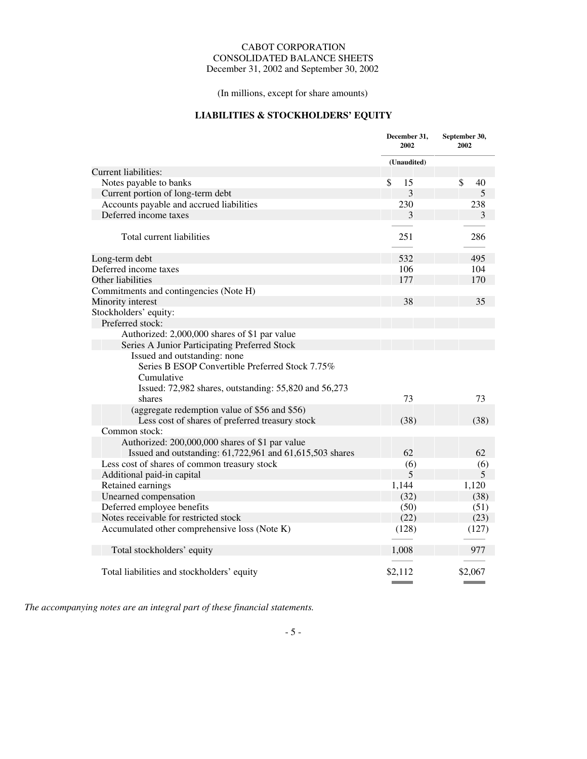## CABOT CORPORATION CONSOLIDATED BALANCE SHEETS December 31, 2002 and September 30, 2002

(In millions, except for share amounts)

## **LIABILITIES & STOCKHOLDERS' EQUITY**

|                                                                                                                                                        | December 31,<br>September 30,<br>2002<br>2002 |          |
|--------------------------------------------------------------------------------------------------------------------------------------------------------|-----------------------------------------------|----------|
|                                                                                                                                                        | (Unaudited)                                   |          |
| Current liabilities:                                                                                                                                   |                                               |          |
| Notes payable to banks                                                                                                                                 | \$<br>15                                      | \$<br>40 |
| Current portion of long-term debt                                                                                                                      | 3                                             | 5        |
| Accounts payable and accrued liabilities                                                                                                               | 230                                           | 238      |
| Deferred income taxes                                                                                                                                  | 3                                             | 3        |
|                                                                                                                                                        |                                               |          |
| Total current liabilities                                                                                                                              | 251                                           | 286      |
| Long-term debt                                                                                                                                         | 532                                           | 495      |
| Deferred income taxes                                                                                                                                  | 106                                           | 104      |
| Other liabilities                                                                                                                                      | 177                                           | 170      |
| Commitments and contingencies (Note H)                                                                                                                 |                                               |          |
| Minority interest                                                                                                                                      | 38                                            | 35       |
| Stockholders' equity:                                                                                                                                  |                                               |          |
| Preferred stock:                                                                                                                                       |                                               |          |
| Authorized: 2,000,000 shares of \$1 par value                                                                                                          |                                               |          |
| Series A Junior Participating Preferred Stock                                                                                                          |                                               |          |
| Issued and outstanding: none<br>Series B ESOP Convertible Preferred Stock 7.75%<br>Cumulative<br>Issued: 72,982 shares, outstanding: 55,820 and 56,273 |                                               |          |
| shares                                                                                                                                                 | 73                                            | 73       |
| (aggregate redemption value of \$56 and \$56)<br>Less cost of shares of preferred treasury stock<br>Common stock:                                      | (38)                                          | (38)     |
| Authorized: 200,000,000 shares of \$1 par value                                                                                                        |                                               |          |
| Issued and outstanding: 61,722,961 and 61,615,503 shares                                                                                               | 62                                            | 62       |
| Less cost of shares of common treasury stock                                                                                                           | (6)                                           | (6)      |
| Additional paid-in capital                                                                                                                             | 5                                             | 5        |
| Retained earnings                                                                                                                                      | 1,144                                         | 1,120    |
| Unearned compensation                                                                                                                                  | (32)                                          | (38)     |
| Deferred employee benefits                                                                                                                             | (50)                                          | (51)     |
| Notes receivable for restricted stock                                                                                                                  | (22)                                          | (23)     |
| Accumulated other comprehensive loss (Note K)                                                                                                          | (128)                                         | (127)    |
|                                                                                                                                                        |                                               |          |
| Total stockholders' equity                                                                                                                             | 1,008                                         | 977      |
| Total liabilities and stockholders' equity                                                                                                             | \$2,112                                       | \$2,067  |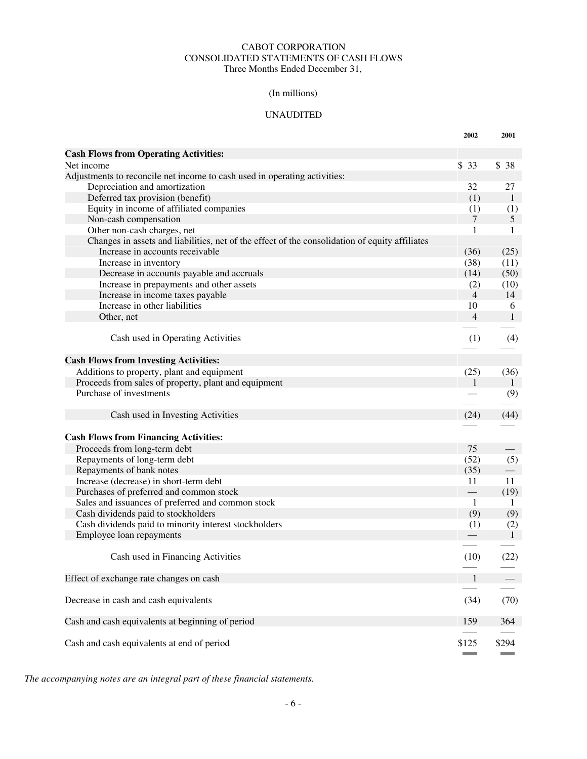## CABOT CORPORATION CONSOLIDATED STATEMENTS OF CASH FLOWS Three Months Ended December 31,

## (In millions)

## UNAUDITED

|                                                                                                | 2002                     | 2001                     |
|------------------------------------------------------------------------------------------------|--------------------------|--------------------------|
| <b>Cash Flows from Operating Activities:</b>                                                   |                          |                          |
| Net income                                                                                     | \$33                     | \$38                     |
| Adjustments to reconcile net income to cash used in operating activities:                      |                          |                          |
| Depreciation and amortization                                                                  | 32                       | 27                       |
| Deferred tax provision (benefit)                                                               | (1)                      | $\mathbf{1}$             |
| Equity in income of affiliated companies                                                       | (1)                      | (1)                      |
| Non-cash compensation                                                                          | 7                        | 5                        |
| Other non-cash charges, net                                                                    | 1                        | 1                        |
| Changes in assets and liabilities, net of the effect of the consolidation of equity affiliates |                          |                          |
| Increase in accounts receivable                                                                | (36)                     | (25)                     |
| Increase in inventory                                                                          | (38)                     | (11)                     |
| Decrease in accounts payable and accruals                                                      | (14)                     | (50)                     |
| Increase in prepayments and other assets                                                       | (2)                      | (10)                     |
| Increase in income taxes payable                                                               | $\overline{4}$           | 14                       |
| Increase in other liabilities                                                                  | 10                       | 6                        |
| Other, net                                                                                     | 4                        | $\mathbf{1}$             |
|                                                                                                |                          |                          |
| Cash used in Operating Activities                                                              | (1)                      | (4)                      |
|                                                                                                |                          |                          |
| <b>Cash Flows from Investing Activities:</b>                                                   |                          |                          |
| Additions to property, plant and equipment                                                     | (25)                     |                          |
| Proceeds from sales of property, plant and equipment                                           | 1                        | (36)<br>$\mathbf{1}$     |
| Purchase of investments                                                                        |                          | (9)                      |
|                                                                                                |                          |                          |
| Cash used in Investing Activities                                                              | (24)                     | (44)                     |
|                                                                                                |                          |                          |
| <b>Cash Flows from Financing Activities:</b>                                                   |                          |                          |
| Proceeds from long-term debt                                                                   | 75                       |                          |
| Repayments of long-term debt                                                                   | (52)                     | (5)                      |
| Repayments of bank notes                                                                       | (35)                     | $\overline{\phantom{0}}$ |
| Increase (decrease) in short-term debt                                                         | 11                       | 11                       |
| Purchases of preferred and common stock                                                        | $\overline{\phantom{0}}$ | (19)                     |
| Sales and issuances of preferred and common stock                                              | $\mathbf{1}$             | 1                        |
| Cash dividends paid to stockholders                                                            | (9)                      | (9)                      |
| Cash dividends paid to minority interest stockholders                                          | (1)                      | (2)                      |
| Employee loan repayments                                                                       |                          | $\mathbf{1}$             |
|                                                                                                |                          |                          |
| Cash used in Financing Activities                                                              | (10)                     | (22)                     |
|                                                                                                |                          |                          |
| Effect of exchange rate changes on cash                                                        | $\mathbf{1}$             |                          |
|                                                                                                |                          |                          |
| Decrease in cash and cash equivalents                                                          | (34)                     | (70)                     |
|                                                                                                |                          |                          |
| Cash and cash equivalents at beginning of period                                               | 159                      | 364                      |
|                                                                                                |                          |                          |
| Cash and cash equivalents at end of period                                                     | \$125                    | \$294                    |
|                                                                                                |                          |                          |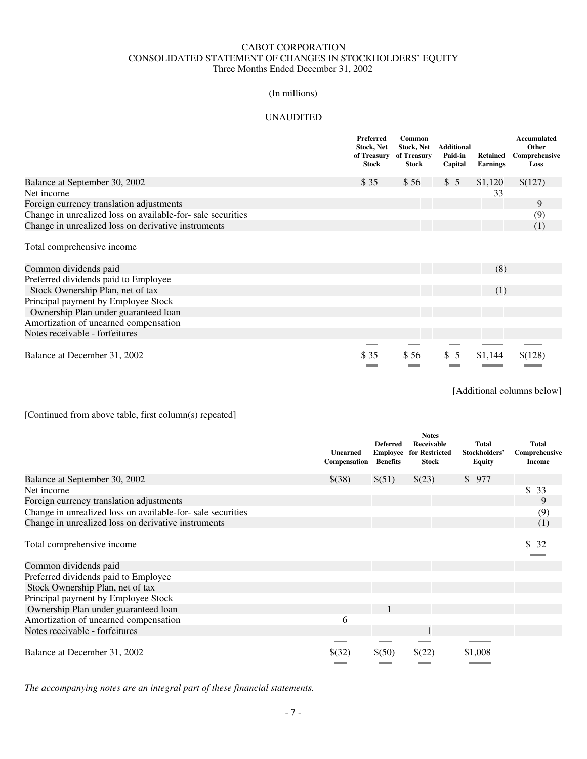## CABOT CORPORATION CONSOLIDATED STATEMENT OF CHANGES IN STOCKHOLDERS' EQUITY Three Months Ended December 31, 2002

## (In millions)

## UNAUDITED

|                                                            | Preferred<br><b>Stock, Net</b><br>of Treasury<br>Stock | Common<br>Stock, Net<br>of Treasury<br><b>Stock</b> | <b>Additional</b><br>Paid-in<br>Capital | <b>Retained</b><br><b>Earnings</b> | <b>Accumulated</b><br>Other<br>Comprehensive<br>Loss |
|------------------------------------------------------------|--------------------------------------------------------|-----------------------------------------------------|-----------------------------------------|------------------------------------|------------------------------------------------------|
| Balance at September 30, 2002                              | \$35                                                   | \$56                                                | \$5                                     | \$1,120                            | \$(127)                                              |
| Net income                                                 |                                                        |                                                     |                                         | 33                                 |                                                      |
| Foreign currency translation adjustments                   |                                                        |                                                     |                                         |                                    | 9                                                    |
| Change in unrealized loss on available-for-sale securities |                                                        |                                                     |                                         |                                    | (9)                                                  |
| Change in unrealized loss on derivative instruments        |                                                        |                                                     |                                         |                                    | (1)                                                  |
| Total comprehensive income                                 |                                                        |                                                     |                                         |                                    |                                                      |
| Common dividends paid                                      |                                                        |                                                     |                                         | (8)                                |                                                      |
| Preferred dividends paid to Employee                       |                                                        |                                                     |                                         |                                    |                                                      |
| Stock Ownership Plan, net of tax                           |                                                        |                                                     |                                         | (1)                                |                                                      |
| Principal payment by Employee Stock                        |                                                        |                                                     |                                         |                                    |                                                      |
| Ownership Plan under guaranteed loan                       |                                                        |                                                     |                                         |                                    |                                                      |
| Amortization of unearned compensation                      |                                                        |                                                     |                                         |                                    |                                                      |
| Notes receivable - forfeitures                             |                                                        |                                                     |                                         |                                    |                                                      |
| Balance at December 31, 2002                               | \$ 35                                                  | \$56                                                | \$5                                     | \$1,144                            | \$(128)                                              |

[Additional columns below]

## [Continued from above table, first column(s) repeated]

|                                                            | <b>Unearned</b><br>Compensation | <b>Deferred</b><br><b>Benefits</b> | <b>Notes</b><br>Receivable<br><b>Employee</b> for Restricted<br><b>Stock</b> | <b>Total</b><br>Stockholders'<br><b>Equity</b> | <b>Total</b><br>Comprehensive<br><b>Income</b> |
|------------------------------------------------------------|---------------------------------|------------------------------------|------------------------------------------------------------------------------|------------------------------------------------|------------------------------------------------|
| Balance at September 30, 2002                              | \$(38)                          | \$(51)                             | \$(23)                                                                       | \$977                                          |                                                |
| Net income                                                 |                                 |                                    |                                                                              |                                                | \$33                                           |
| Foreign currency translation adjustments                   |                                 |                                    |                                                                              |                                                | 9                                              |
| Change in unrealized loss on available-for-sale securities |                                 |                                    |                                                                              |                                                | (9)                                            |
| Change in unrealized loss on derivative instruments        |                                 |                                    |                                                                              |                                                | (1)                                            |
| Total comprehensive income                                 |                                 |                                    |                                                                              |                                                | \$32                                           |
| Common dividends paid                                      |                                 |                                    |                                                                              |                                                |                                                |
| Preferred dividends paid to Employee                       |                                 |                                    |                                                                              |                                                |                                                |
| Stock Ownership Plan, net of tax                           |                                 |                                    |                                                                              |                                                |                                                |
| Principal payment by Employee Stock                        |                                 |                                    |                                                                              |                                                |                                                |
| Ownership Plan under guaranteed loan                       |                                 |                                    |                                                                              |                                                |                                                |
| Amortization of unearned compensation                      | 6                               |                                    |                                                                              |                                                |                                                |
| Notes receivable - forfeitures                             |                                 |                                    |                                                                              |                                                |                                                |
|                                                            |                                 |                                    |                                                                              |                                                |                                                |
| Balance at December 31, 2002                               | \$(32)                          | \$(50)                             | \$(22)                                                                       | \$1,008                                        |                                                |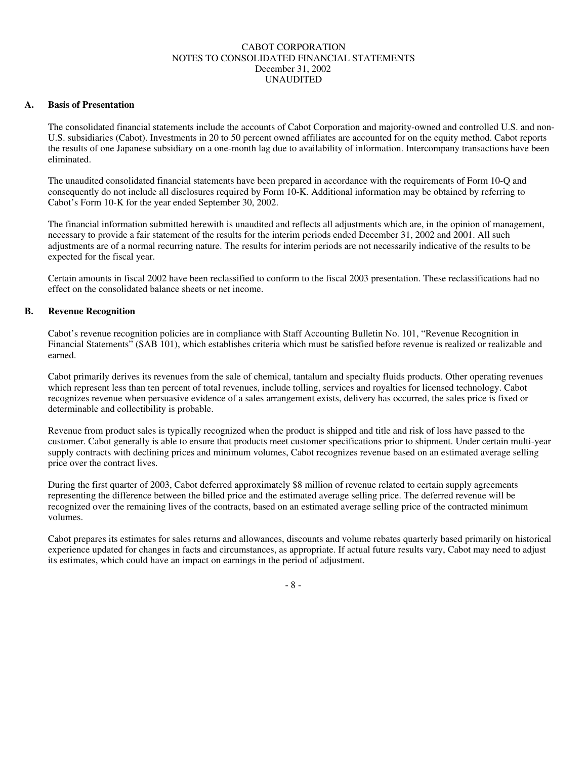## **A. Basis of Presentation**

 The consolidated financial statements include the accounts of Cabot Corporation and majority-owned and controlled U.S. and non-U.S. subsidiaries (Cabot). Investments in 20 to 50 percent owned affiliates are accounted for on the equity method. Cabot reports the results of one Japanese subsidiary on a one-month lag due to availability of information. Intercompany transactions have been eliminated.

 The unaudited consolidated financial statements have been prepared in accordance with the requirements of Form 10-Q and consequently do not include all disclosures required by Form 10-K. Additional information may be obtained by referring to Cabot's Form 10-K for the year ended September 30, 2002.

 The financial information submitted herewith is unaudited and reflects all adjustments which are, in the opinion of management, necessary to provide a fair statement of the results for the interim periods ended December 31, 2002 and 2001. All such adjustments are of a normal recurring nature. The results for interim periods are not necessarily indicative of the results to be expected for the fiscal year.

 Certain amounts in fiscal 2002 have been reclassified to conform to the fiscal 2003 presentation. These reclassifications had no effect on the consolidated balance sheets or net income.

## **B. Revenue Recognition**

 Cabot's revenue recognition policies are in compliance with Staff Accounting Bulletin No. 101, "Revenue Recognition in Financial Statements" (SAB 101), which establishes criteria which must be satisfied before revenue is realized or realizable and earned.

 Cabot primarily derives its revenues from the sale of chemical, tantalum and specialty fluids products. Other operating revenues which represent less than ten percent of total revenues, include tolling, services and royalties for licensed technology. Cabot recognizes revenue when persuasive evidence of a sales arrangement exists, delivery has occurred, the sales price is fixed or determinable and collectibility is probable.

 Revenue from product sales is typically recognized when the product is shipped and title and risk of loss have passed to the customer. Cabot generally is able to ensure that products meet customer specifications prior to shipment. Under certain multi-year supply contracts with declining prices and minimum volumes, Cabot recognizes revenue based on an estimated average selling price over the contract lives.

 During the first quarter of 2003, Cabot deferred approximately \$8 million of revenue related to certain supply agreements representing the difference between the billed price and the estimated average selling price. The deferred revenue will be recognized over the remaining lives of the contracts, based on an estimated average selling price of the contracted minimum volumes.

 Cabot prepares its estimates for sales returns and allowances, discounts and volume rebates quarterly based primarily on historical experience updated for changes in facts and circumstances, as appropriate. If actual future results vary, Cabot may need to adjust its estimates, which could have an impact on earnings in the period of adjustment.

- 8 -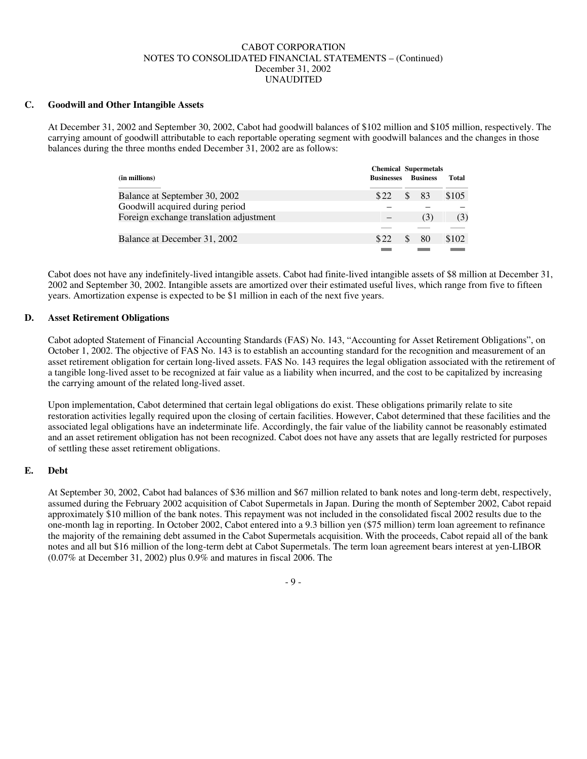#### **C. Goodwill and Other Intangible Assets**

 At December 31, 2002 and September 30, 2002, Cabot had goodwill balances of \$102 million and \$105 million, respectively. The carrying amount of goodwill attributable to each reportable operating segment with goodwill balances and the changes in those balances during the three months ended December 31, 2002 are as follows:

|                                         | <b>Chemical Supermetals</b> |                 |       |
|-----------------------------------------|-----------------------------|-----------------|-------|
| (in millions)                           | <b>Businesses</b>           | <b>Business</b> | Total |
| Balance at September 30, 2002           | \$22                        | 83              | \$105 |
| Goodwill acquired during period         |                             |                 |       |
| Foreign exchange translation adjustment |                             | (3)             | (3)   |
|                                         |                             |                 |       |
| Balance at December 31, 2002            | \$22                        | 80              | \$102 |
|                                         |                             |                 |       |

 Cabot does not have any indefinitely-lived intangible assets. Cabot had finite-lived intangible assets of \$8 million at December 31, 2002 and September 30, 2002. Intangible assets are amortized over their estimated useful lives, which range from five to fifteen years. Amortization expense is expected to be \$1 million in each of the next five years.

## **D. Asset Retirement Obligations**

 Cabot adopted Statement of Financial Accounting Standards (FAS) No. 143, "Accounting for Asset Retirement Obligations", on October 1, 2002. The objective of FAS No. 143 is to establish an accounting standard for the recognition and measurement of an asset retirement obligation for certain long-lived assets. FAS No. 143 requires the legal obligation associated with the retirement of a tangible long-lived asset to be recognized at fair value as a liability when incurred, and the cost to be capitalized by increasing the carrying amount of the related long-lived asset.

 Upon implementation, Cabot determined that certain legal obligations do exist. These obligations primarily relate to site restoration activities legally required upon the closing of certain facilities. However, Cabot determined that these facilities and the associated legal obligations have an indeterminate life. Accordingly, the fair value of the liability cannot be reasonably estimated and an asset retirement obligation has not been recognized. Cabot does not have any assets that are legally restricted for purposes of settling these asset retirement obligations.

## **E. Debt**

 At September 30, 2002, Cabot had balances of \$36 million and \$67 million related to bank notes and long-term debt, respectively, assumed during the February 2002 acquisition of Cabot Supermetals in Japan. During the month of September 2002, Cabot repaid approximately \$10 million of the bank notes. This repayment was not included in the consolidated fiscal 2002 results due to the one-month lag in reporting. In October 2002, Cabot entered into a 9.3 billion yen (\$75 million) term loan agreement to refinance the majority of the remaining debt assumed in the Cabot Supermetals acquisition. With the proceeds, Cabot repaid all of the bank notes and all but \$16 million of the long-term debt at Cabot Supermetals. The term loan agreement bears interest at yen-LIBOR (0.07% at December 31, 2002) plus 0.9% and matures in fiscal 2006. The

- 9 -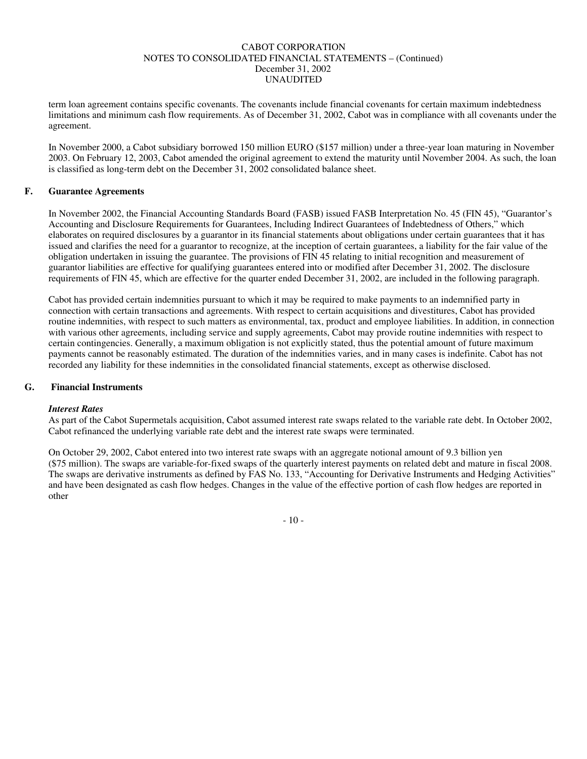term loan agreement contains specific covenants. The covenants include financial covenants for certain maximum indebtedness limitations and minimum cash flow requirements. As of December 31, 2002, Cabot was in compliance with all covenants under the agreement.

 In November 2000, a Cabot subsidiary borrowed 150 million EURO (\$157 million) under a three-year loan maturing in November 2003. On February 12, 2003, Cabot amended the original agreement to extend the maturity until November 2004. As such, the loan is classified as long-term debt on the December 31, 2002 consolidated balance sheet.

## **F. Guarantee Agreements**

 In November 2002, the Financial Accounting Standards Board (FASB) issued FASB Interpretation No. 45 (FIN 45), "Guarantor's Accounting and Disclosure Requirements for Guarantees, Including Indirect Guarantees of Indebtedness of Others," which elaborates on required disclosures by a guarantor in its financial statements about obligations under certain guarantees that it has issued and clarifies the need for a guarantor to recognize, at the inception of certain guarantees, a liability for the fair value of the obligation undertaken in issuing the guarantee. The provisions of FIN 45 relating to initial recognition and measurement of guarantor liabilities are effective for qualifying guarantees entered into or modified after December 31, 2002. The disclosure requirements of FIN 45, which are effective for the quarter ended December 31, 2002, are included in the following paragraph.

 Cabot has provided certain indemnities pursuant to which it may be required to make payments to an indemnified party in connection with certain transactions and agreements. With respect to certain acquisitions and divestitures, Cabot has provided routine indemnities, with respect to such matters as environmental, tax, product and employee liabilities. In addition, in connection with various other agreements, including service and supply agreements, Cabot may provide routine indemnities with respect to certain contingencies. Generally, a maximum obligation is not explicitly stated, thus the potential amount of future maximum payments cannot be reasonably estimated. The duration of the indemnities varies, and in many cases is indefinite. Cabot has not recorded any liability for these indemnities in the consolidated financial statements, except as otherwise disclosed.

## **G. Financial Instruments**

## *Interest Rates*

As part of the Cabot Supermetals acquisition, Cabot assumed interest rate swaps related to the variable rate debt. In October 2002, Cabot refinanced the underlying variable rate debt and the interest rate swaps were terminated.

 On October 29, 2002, Cabot entered into two interest rate swaps with an aggregate notional amount of 9.3 billion yen (\$75 million). The swaps are variable-for-fixed swaps of the quarterly interest payments on related debt and mature in fiscal 2008. The swaps are derivative instruments as defined by FAS No. 133, "Accounting for Derivative Instruments and Hedging Activities" and have been designated as cash flow hedges. Changes in the value of the effective portion of cash flow hedges are reported in other

- 10 -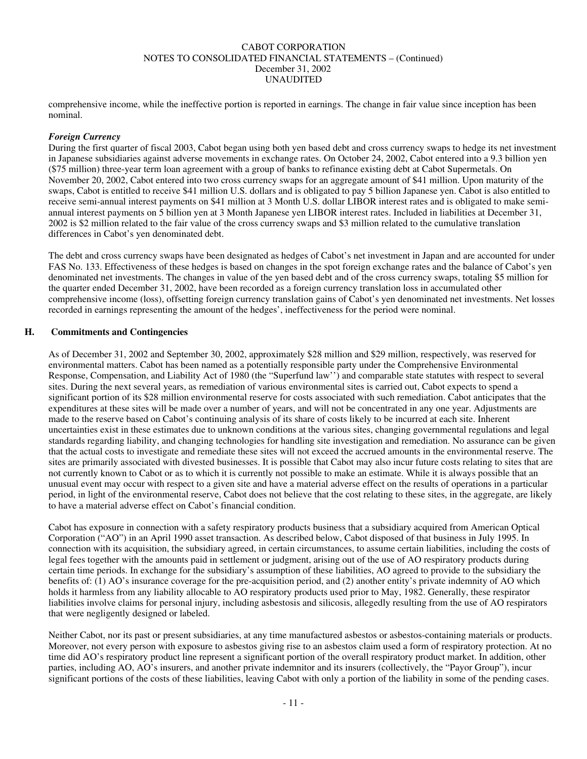comprehensive income, while the ineffective portion is reported in earnings. The change in fair value since inception has been nominal.

## *Foreign Currency*

During the first quarter of fiscal 2003, Cabot began using both yen based debt and cross currency swaps to hedge its net investment in Japanese subsidiaries against adverse movements in exchange rates. On October 24, 2002, Cabot entered into a 9.3 billion yen (\$75 million) three-year term loan agreement with a group of banks to refinance existing debt at Cabot Supermetals. On November 20, 2002, Cabot entered into two cross currency swaps for an aggregate amount of \$41 million. Upon maturity of the swaps, Cabot is entitled to receive \$41 million U.S. dollars and is obligated to pay 5 billion Japanese yen. Cabot is also entitled to receive semi-annual interest payments on \$41 million at 3 Month U.S. dollar LIBOR interest rates and is obligated to make semiannual interest payments on 5 billion yen at 3 Month Japanese yen LIBOR interest rates. Included in liabilities at December 31, 2002 is \$2 million related to the fair value of the cross currency swaps and \$3 million related to the cumulative translation differences in Cabot's yen denominated debt.

 The debt and cross currency swaps have been designated as hedges of Cabot's net investment in Japan and are accounted for under FAS No. 133. Effectiveness of these hedges is based on changes in the spot foreign exchange rates and the balance of Cabot's yen denominated net investments. The changes in value of the yen based debt and of the cross currency swaps, totaling \$5 million for the quarter ended December 31, 2002, have been recorded as a foreign currency translation loss in accumulated other comprehensive income (loss), offsetting foreign currency translation gains of Cabot's yen denominated net investments. Net losses recorded in earnings representing the amount of the hedges', ineffectiveness for the period were nominal.

## **H. Commitments and Contingencies**

 As of December 31, 2002 and September 30, 2002, approximately \$28 million and \$29 million, respectively, was reserved for environmental matters. Cabot has been named as a potentially responsible party under the Comprehensive Environmental Response, Compensation, and Liability Act of 1980 (the "Superfund law'') and comparable state statutes with respect to several sites. During the next several years, as remediation of various environmental sites is carried out, Cabot expects to spend a significant portion of its \$28 million environmental reserve for costs associated with such remediation. Cabot anticipates that the expenditures at these sites will be made over a number of years, and will not be concentrated in any one year. Adjustments are made to the reserve based on Cabot's continuing analysis of its share of costs likely to be incurred at each site. Inherent uncertainties exist in these estimates due to unknown conditions at the various sites, changing governmental regulations and legal standards regarding liability, and changing technologies for handling site investigation and remediation. No assurance can be given that the actual costs to investigate and remediate these sites will not exceed the accrued amounts in the environmental reserve. The sites are primarily associated with divested businesses. It is possible that Cabot may also incur future costs relating to sites that are not currently known to Cabot or as to which it is currently not possible to make an estimate. While it is always possible that an unusual event may occur with respect to a given site and have a material adverse effect on the results of operations in a particular period, in light of the environmental reserve, Cabot does not believe that the cost relating to these sites, in the aggregate, are likely to have a material adverse effect on Cabot's financial condition.

 Cabot has exposure in connection with a safety respiratory products business that a subsidiary acquired from American Optical Corporation ("AO") in an April 1990 asset transaction. As described below, Cabot disposed of that business in July 1995. In connection with its acquisition, the subsidiary agreed, in certain circumstances, to assume certain liabilities, including the costs of legal fees together with the amounts paid in settlement or judgment, arising out of the use of AO respiratory products during certain time periods. In exchange for the subsidiary's assumption of these liabilities, AO agreed to provide to the subsidiary the benefits of: (1) AO's insurance coverage for the pre-acquisition period, and (2) another entity's private indemnity of AO which holds it harmless from any liability allocable to AO respiratory products used prior to May, 1982. Generally, these respirator liabilities involve claims for personal injury, including asbestosis and silicosis, allegedly resulting from the use of AO respirators that were negligently designed or labeled.

 Neither Cabot, nor its past or present subsidiaries, at any time manufactured asbestos or asbestos-containing materials or products. Moreover, not every person with exposure to asbestos giving rise to an asbestos claim used a form of respiratory protection. At no time did AO's respiratory product line represent a significant portion of the overall respiratory product market. In addition, other parties, including AO, AO's insurers, and another private indemnitor and its insurers (collectively, the "Payor Group"), incur significant portions of the costs of these liabilities, leaving Cabot with only a portion of the liability in some of the pending cases.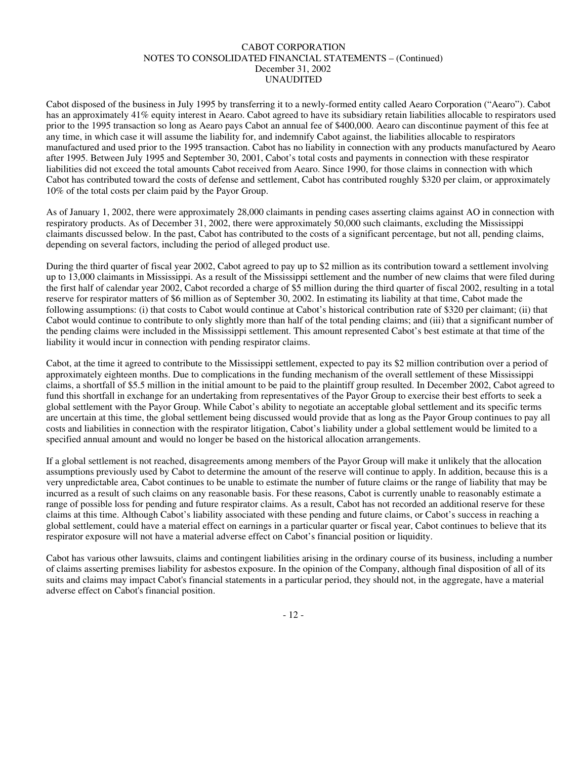Cabot disposed of the business in July 1995 by transferring it to a newly-formed entity called Aearo Corporation ("Aearo"). Cabot has an approximately 41% equity interest in Aearo. Cabot agreed to have its subsidiary retain liabilities allocable to respirators used prior to the 1995 transaction so long as Aearo pays Cabot an annual fee of \$400,000. Aearo can discontinue payment of this fee at any time, in which case it will assume the liability for, and indemnify Cabot against, the liabilities allocable to respirators manufactured and used prior to the 1995 transaction. Cabot has no liability in connection with any products manufactured by Aearo after 1995. Between July 1995 and September 30, 2001, Cabot's total costs and payments in connection with these respirator liabilities did not exceed the total amounts Cabot received from Aearo. Since 1990, for those claims in connection with which Cabot has contributed toward the costs of defense and settlement, Cabot has contributed roughly \$320 per claim, or approximately 10% of the total costs per claim paid by the Payor Group.

 As of January 1, 2002, there were approximately 28,000 claimants in pending cases asserting claims against AO in connection with respiratory products. As of December 31, 2002, there were approximately 50,000 such claimants, excluding the Mississippi claimants discussed below. In the past, Cabot has contributed to the costs of a significant percentage, but not all, pending claims, depending on several factors, including the period of alleged product use.

 During the third quarter of fiscal year 2002, Cabot agreed to pay up to \$2 million as its contribution toward a settlement involving up to 13,000 claimants in Mississippi. As a result of the Mississippi settlement and the number of new claims that were filed during the first half of calendar year 2002, Cabot recorded a charge of \$5 million during the third quarter of fiscal 2002, resulting in a total reserve for respirator matters of \$6 million as of September 30, 2002. In estimating its liability at that time, Cabot made the following assumptions: (i) that costs to Cabot would continue at Cabot's historical contribution rate of \$320 per claimant; (ii) that Cabot would continue to contribute to only slightly more than half of the total pending claims; and (iii) that a significant number of the pending claims were included in the Mississippi settlement. This amount represented Cabot's best estimate at that time of the liability it would incur in connection with pending respirator claims.

 Cabot, at the time it agreed to contribute to the Mississippi settlement, expected to pay its \$2 million contribution over a period of approximately eighteen months. Due to complications in the funding mechanism of the overall settlement of these Mississippi claims, a shortfall of \$5.5 million in the initial amount to be paid to the plaintiff group resulted. In December 2002, Cabot agreed to fund this shortfall in exchange for an undertaking from representatives of the Payor Group to exercise their best efforts to seek a global settlement with the Payor Group. While Cabot's ability to negotiate an acceptable global settlement and its specific terms are uncertain at this time, the global settlement being discussed would provide that as long as the Payor Group continues to pay all costs and liabilities in connection with the respirator litigation, Cabot's liability under a global settlement would be limited to a specified annual amount and would no longer be based on the historical allocation arrangements.

 If a global settlement is not reached, disagreements among members of the Payor Group will make it unlikely that the allocation assumptions previously used by Cabot to determine the amount of the reserve will continue to apply. In addition, because this is a very unpredictable area, Cabot continues to be unable to estimate the number of future claims or the range of liability that may be incurred as a result of such claims on any reasonable basis. For these reasons, Cabot is currently unable to reasonably estimate a range of possible loss for pending and future respirator claims. As a result, Cabot has not recorded an additional reserve for these claims at this time. Although Cabot's liability associated with these pending and future claims, or Cabot's success in reaching a global settlement, could have a material effect on earnings in a particular quarter or fiscal year, Cabot continues to believe that its respirator exposure will not have a material adverse effect on Cabot's financial position or liquidity.

 Cabot has various other lawsuits, claims and contingent liabilities arising in the ordinary course of its business, including a number of claims asserting premises liability for asbestos exposure. In the opinion of the Company, although final disposition of all of its suits and claims may impact Cabot's financial statements in a particular period, they should not, in the aggregate, have a material adverse effect on Cabot's financial position.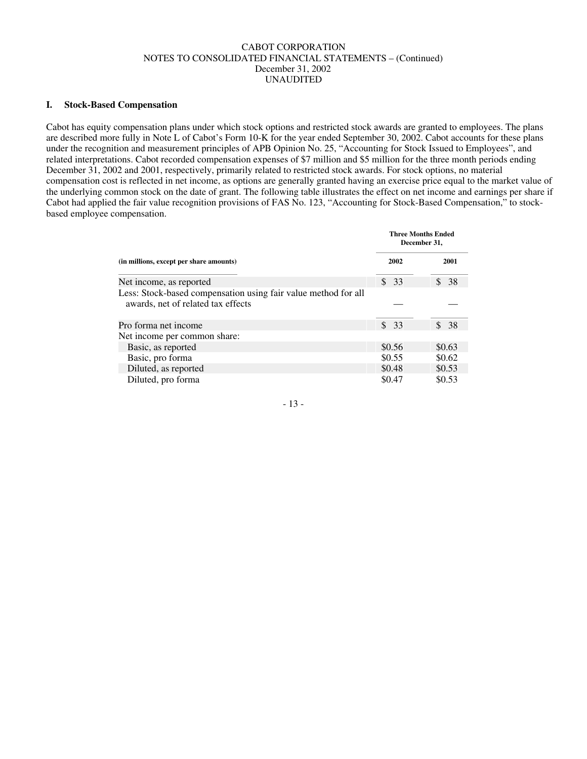#### **I. Stock-Based Compensation**

 Cabot has equity compensation plans under which stock options and restricted stock awards are granted to employees. The plans are described more fully in Note L of Cabot's Form 10-K for the year ended September 30, 2002. Cabot accounts for these plans under the recognition and measurement principles of APB Opinion No. 25, "Accounting for Stock Issued to Employees", and related interpretations. Cabot recorded compensation expenses of \$7 million and \$5 million for the three month periods ending December 31, 2002 and 2001, respectively, primarily related to restricted stock awards. For stock options, no material compensation cost is reflected in net income, as options are generally granted having an exercise price equal to the market value of the underlying common stock on the date of grant. The following table illustrates the effect on net income and earnings per share if Cabot had applied the fair value recognition provisions of FAS No. 123, "Accounting for Stock-Based Compensation," to stockbased employee compensation.

|                                                                                                      | <b>Three Months Ended</b><br>December 31, |            |  |  |
|------------------------------------------------------------------------------------------------------|-------------------------------------------|------------|--|--|
| (in millions, except per share amounts)                                                              | 2002                                      | 2001       |  |  |
| Net income, as reported                                                                              | \$33                                      | 38         |  |  |
| Less: Stock-based compensation using fair value method for all<br>awards, net of related tax effects |                                           |            |  |  |
| Pro forma net income                                                                                 | \$33                                      | -38<br>\$. |  |  |
| Net income per common share:                                                                         |                                           |            |  |  |
| Basic, as reported                                                                                   | \$0.56                                    | \$0.63     |  |  |
| Basic, pro forma                                                                                     | \$0.55                                    | \$0.62     |  |  |
| Diluted, as reported                                                                                 | \$0.48                                    | \$0.53     |  |  |
| Diluted, pro forma                                                                                   | \$0.47                                    | \$0.53     |  |  |

- 13 -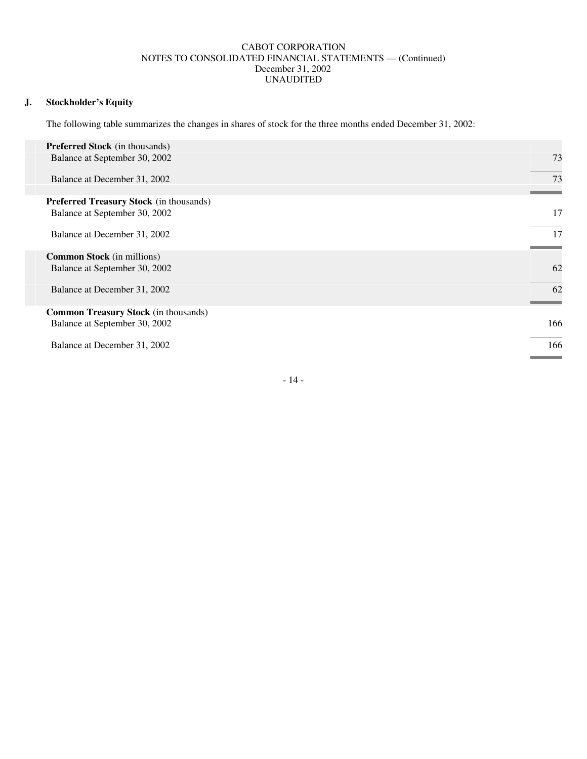## **J. Stockholder's Equity**

The following table summarizes the changes in shares of stock for the three months ended December 31, 2002:

| <b>Preferred Stock</b> (in thousands)          |     |
|------------------------------------------------|-----|
| Balance at September 30, 2002                  | 73  |
| Balance at December 31, 2002                   | 73  |
| <b>Preferred Treasury Stock</b> (in thousands) |     |
| Balance at September 30, 2002                  | 17  |
| Balance at December 31, 2002                   | 17  |
| <b>Common Stock</b> (in millions)              |     |
| Balance at September 30, 2002                  | 62  |
| Balance at December 31, 2002                   | 62  |
| <b>Common Treasury Stock</b> (in thousands)    |     |
| Balance at September 30, 2002                  | 166 |
| Balance at December 31, 2002                   | 166 |
|                                                |     |

- 14 -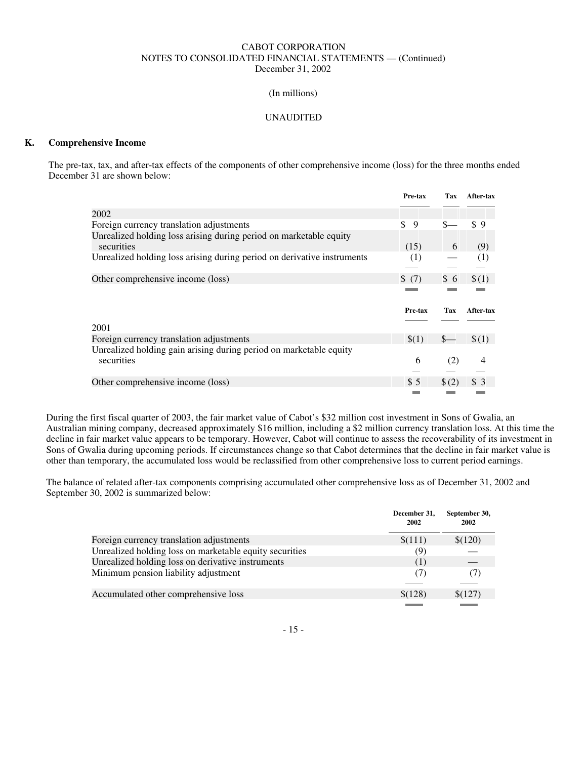## (In millions)

## UNAUDITED

## **K. Comprehensive Income**

The pre-tax, tax, and after-tax effects of the components of other comprehensive income (loss) for the three months ended December 31 are shown below:

|                                                                         | Pre-tax   | Tax   | After-tax         |
|-------------------------------------------------------------------------|-----------|-------|-------------------|
| 2002                                                                    |           |       |                   |
| Foreign currency translation adjustments                                | \$<br>- 9 |       | \$9               |
| Unrealized holding loss arising during period on marketable equity      |           |       |                   |
| securities                                                              | (15)      | 6     | (9)               |
| Unrealized holding loss arising during period on derivative instruments | (1)       |       | (1)               |
|                                                                         |           |       |                   |
| Other comprehensive income (loss)                                       | \$ (7)    | \$6   | \$(1)             |
|                                                                         |           |       |                   |
|                                                                         | Pre-tax   | Tax   | After-tax         |
| 2001                                                                    |           |       |                   |
|                                                                         |           |       |                   |
| Foreign currency translation adjustments                                | $\$(1)$   |       | $\mathfrak{S}(1)$ |
| Unrealized holding gain arising during period on marketable equity      |           |       |                   |
| securities                                                              | 6         | (2)   | $\overline{4}$    |
|                                                                         |           |       |                   |
| Other comprehensive income (loss)                                       | \$5       | \$(2) | \$3               |

 During the first fiscal quarter of 2003, the fair market value of Cabot's \$32 million cost investment in Sons of Gwalia, an Australian mining company, decreased approximately \$16 million, including a \$2 million currency translation loss. At this time the decline in fair market value appears to be temporary. However, Cabot will continue to assess the recoverability of its investment in Sons of Gwalia during upcoming periods. If circumstances change so that Cabot determines that the decline in fair market value is other than temporary, the accumulated loss would be reclassified from other comprehensive loss to current period earnings.

The balance of related after-tax components comprising accumulated other comprehensive loss as of December 31, 2002 and September 30, 2002 is summarized below:

|                                                         | December 31.<br>2002 | September 30,<br>2002 |
|---------------------------------------------------------|----------------------|-----------------------|
| Foreign currency translation adjustments                | \$(111)              | \$(120)               |
| Unrealized holding loss on marketable equity securities | (9)                  |                       |
| Unrealized holding loss on derivative instruments       | (1)                  |                       |
| Minimum pension liability adjustment                    | (7)                  |                       |
|                                                         |                      |                       |
| Accumulated other comprehensive loss                    | \$(128)              | \$(127)               |
|                                                         |                      |                       |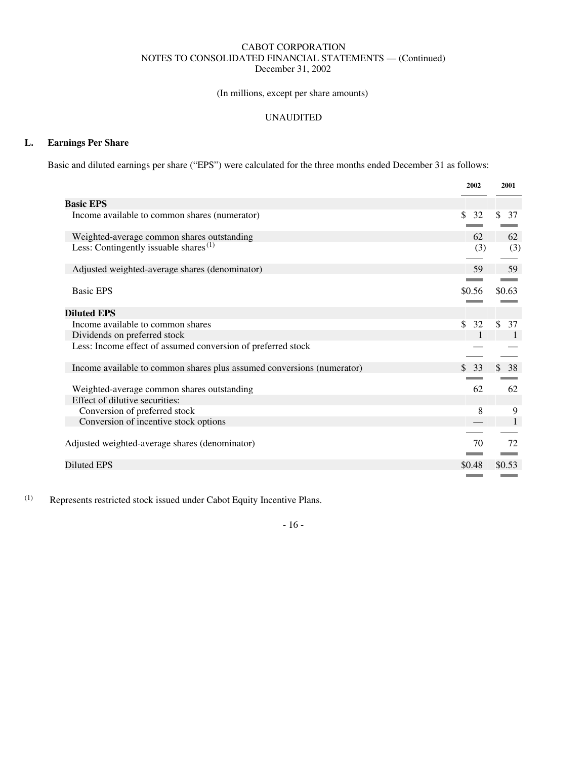(In millions, except per share amounts)

## UNAUDITED

## **L. Earnings Per Share**

Basic and diluted earnings per share ("EPS") were calculated for the three months ended December 31 as follows:

| <b>Basic EPS</b><br>32<br>Income available to common shares (numerator)<br>\$<br>Weighted-average common shares outstanding<br>62 | 37<br>62<br>(3)<br>59 |
|-----------------------------------------------------------------------------------------------------------------------------------|-----------------------|
|                                                                                                                                   |                       |
|                                                                                                                                   |                       |
| Less: Contingently issuable shares $(1)$<br>(3)                                                                                   |                       |
| Adjusted weighted-average shares (denominator)<br>59                                                                              |                       |
| \$0.56<br><b>Basic EPS</b>                                                                                                        | \$0.63                |
| <b>Diluted EPS</b>                                                                                                                |                       |
| \$<br>32<br>Income available to common shares                                                                                     | \$.<br>37             |
| Dividends on preferred stock                                                                                                      |                       |
| Less: Income effect of assumed conversion of preferred stock                                                                      |                       |
| Income available to common shares plus assumed conversions (numerator)<br>\$33                                                    | 38                    |
| 62<br>Weighted-average common shares outstanding<br>Effect of dilutive securities:                                                | 62                    |
| 8<br>Conversion of preferred stock                                                                                                | 9                     |
| Conversion of incentive stock options                                                                                             |                       |
| 70<br>Adjusted weighted-average shares (denominator)                                                                              | 72                    |
| <b>Diluted EPS</b><br>\$0.48                                                                                                      | \$0.53                |

(1) Represents restricted stock issued under Cabot Equity Incentive Plans.

- 16 -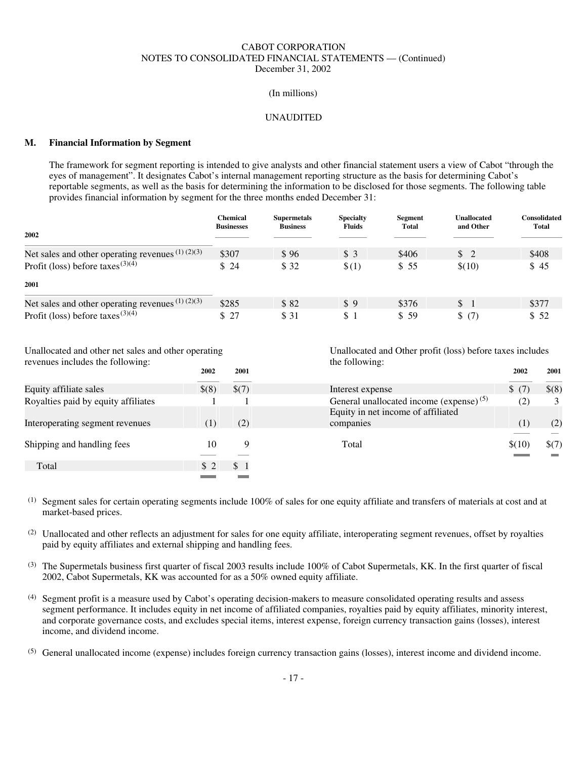#### (In millions)

#### UNAUDITED

## **M. Financial Information by Segment**

The framework for segment reporting is intended to give analysts and other financial statement users a view of Cabot "through the eyes of management". It designates Cabot's internal management reporting structure as the basis for determining Cabot's reportable segments, as well as the basis for determining the information to be disclosed for those segments. The following table provides financial information by segment for the three months ended December 31:

| 2002                                               | <b>Chemical</b><br><b>Businesses</b> | <b>Supermetals</b><br><b>Business</b> | <b>Specialty</b><br><b>Fluids</b> | <b>Segment</b><br><b>Total</b> | <b>Unallocated</b><br>and Other | Consolidated<br>Total |
|----------------------------------------------------|--------------------------------------|---------------------------------------|-----------------------------------|--------------------------------|---------------------------------|-----------------------|
| Net sales and other operating revenues $(1)(2)(3)$ | \$307                                | \$96                                  | $\frac{1}{2}$                     | \$406                          | $\frac{1}{2}$                   | \$408                 |
| Profit (loss) before taxes $(3)(4)$                | \$ 24                                | \$32                                  | \$(1)                             | \$55                           | \$(10)                          | \$45                  |
| 2001                                               |                                      |                                       |                                   |                                |                                 |                       |
| Net sales and other operating revenues $(1)(2)(3)$ | \$285                                | \$82                                  | \$9                               | \$376                          | $\sim$ 1                        | \$377                 |
| Profit (loss) before taxes $(3)(4)$                | \$27                                 | \$ 31                                 | $\frac{1}{2}$                     | \$59                           | \$ (7)                          | \$52                  |

Unallocated and other net sales and other operating

Unallocated and Other profit (loss) before taxes includes

| revenues includes the following:    |               |       | the following:                                      |        |         |
|-------------------------------------|---------------|-------|-----------------------------------------------------|--------|---------|
|                                     | 2002          | 2001  |                                                     | 2002   | 2001    |
| Equity affiliate sales              | \$(8)         | \$(7) | Interest expense                                    | \$(7)  | $\$(8)$ |
| Royalties paid by equity affiliates |               |       | General unallocated income (expense) <sup>(5)</sup> | (2)    | 3       |
| Interoperating segment revenues     | (1)           | (2)   | Equity in net income of affiliated<br>companies     | (1)    | (2)     |
|                                     |               |       |                                                     |        |         |
| Shipping and handling fees          | 10            | 9     | Total                                               | \$(10) | \$(7)   |
|                                     |               |       |                                                     |        |         |
| Total                               | $\frac{1}{2}$ |       |                                                     |        |         |

(1) Segment sales for certain operating segments include 100% of sales for one equity affiliate and transfers of materials at cost and at market-based prices.

(2) Unallocated and other reflects an adjustment for sales for one equity affiliate, interoperating segment revenues, offset by royalties paid by equity affiliates and external shipping and handling fees.

- (3) The Supermetals business first quarter of fiscal 2003 results include 100% of Cabot Supermetals, KK. In the first quarter of fiscal 2002, Cabot Supermetals, KK was accounted for as a 50% owned equity affiliate.
- (4) Segment profit is a measure used by Cabot's operating decision-makers to measure consolidated operating results and assess segment performance. It includes equity in net income of affiliated companies, royalties paid by equity affiliates, minority interest, and corporate governance costs, and excludes special items, interest expense, foreign currency transaction gains (losses), interest income, and dividend income.
- (5) General unallocated income (expense) includes foreign currency transaction gains (losses), interest income and dividend income.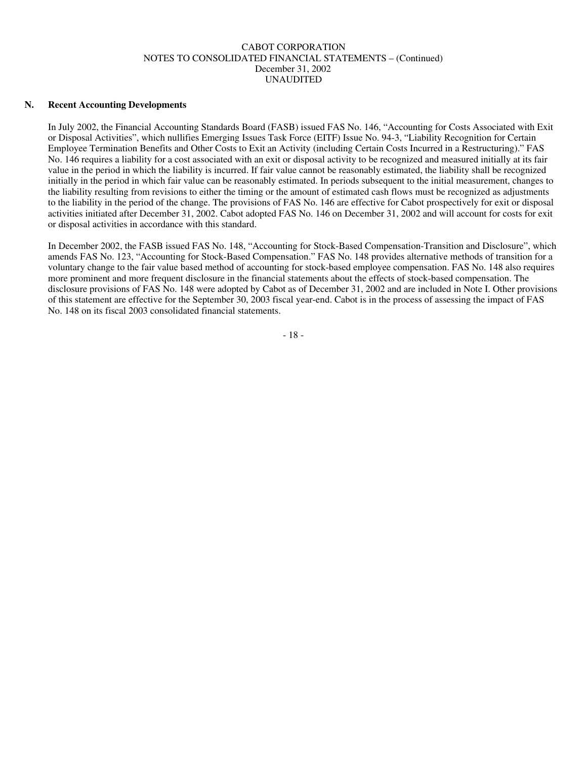#### **N. Recent Accounting Developments**

 In July 2002, the Financial Accounting Standards Board (FASB) issued FAS No. 146, "Accounting for Costs Associated with Exit or Disposal Activities", which nullifies Emerging Issues Task Force (EITF) Issue No. 94-3, "Liability Recognition for Certain Employee Termination Benefits and Other Costs to Exit an Activity (including Certain Costs Incurred in a Restructuring)." FAS No. 146 requires a liability for a cost associated with an exit or disposal activity to be recognized and measured initially at its fair value in the period in which the liability is incurred. If fair value cannot be reasonably estimated, the liability shall be recognized initially in the period in which fair value can be reasonably estimated. In periods subsequent to the initial measurement, changes to the liability resulting from revisions to either the timing or the amount of estimated cash flows must be recognized as adjustments to the liability in the period of the change. The provisions of FAS No. 146 are effective for Cabot prospectively for exit or disposal activities initiated after December 31, 2002. Cabot adopted FAS No. 146 on December 31, 2002 and will account for costs for exit or disposal activities in accordance with this standard.

 In December 2002, the FASB issued FAS No. 148, "Accounting for Stock-Based Compensation-Transition and Disclosure", which amends FAS No. 123, "Accounting for Stock-Based Compensation." FAS No. 148 provides alternative methods of transition for a voluntary change to the fair value based method of accounting for stock-based employee compensation. FAS No. 148 also requires more prominent and more frequent disclosure in the financial statements about the effects of stock-based compensation. The disclosure provisions of FAS No. 148 were adopted by Cabot as of December 31, 2002 and are included in Note I. Other provisions of this statement are effective for the September 30, 2003 fiscal year-end. Cabot is in the process of assessing the impact of FAS No. 148 on its fiscal 2003 consolidated financial statements.

- 18 -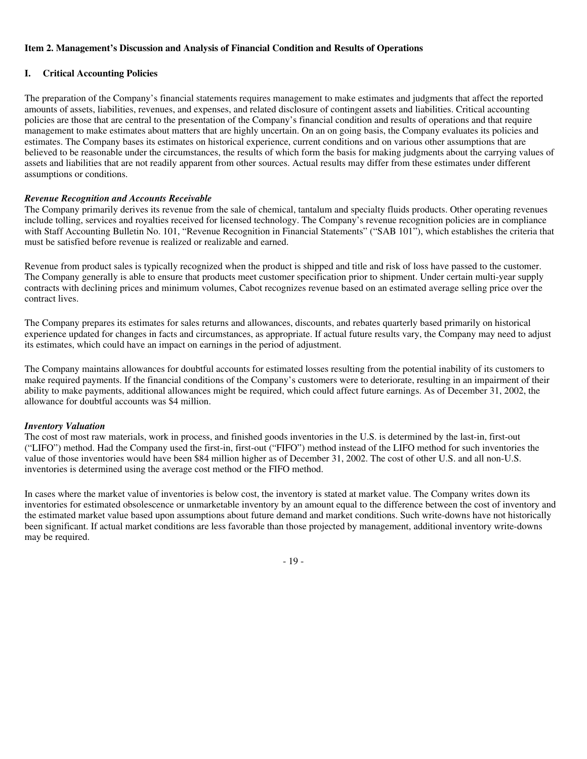## **Item 2. Management's Discussion and Analysis of Financial Condition and Results of Operations**

## **I. Critical Accounting Policies**

The preparation of the Company's financial statements requires management to make estimates and judgments that affect the reported amounts of assets, liabilities, revenues, and expenses, and related disclosure of contingent assets and liabilities. Critical accounting policies are those that are central to the presentation of the Company's financial condition and results of operations and that require management to make estimates about matters that are highly uncertain. On an on going basis, the Company evaluates its policies and estimates. The Company bases its estimates on historical experience, current conditions and on various other assumptions that are believed to be reasonable under the circumstances, the results of which form the basis for making judgments about the carrying values of assets and liabilities that are not readily apparent from other sources. Actual results may differ from these estimates under different assumptions or conditions.

## *Revenue Recognition and Accounts Receivable*

The Company primarily derives its revenue from the sale of chemical, tantalum and specialty fluids products. Other operating revenues include tolling, services and royalties received for licensed technology. The Company's revenue recognition policies are in compliance with Staff Accounting Bulletin No. 101, "Revenue Recognition in Financial Statements" ("SAB 101"), which establishes the criteria that must be satisfied before revenue is realized or realizable and earned.

Revenue from product sales is typically recognized when the product is shipped and title and risk of loss have passed to the customer. The Company generally is able to ensure that products meet customer specification prior to shipment. Under certain multi-year supply contracts with declining prices and minimum volumes, Cabot recognizes revenue based on an estimated average selling price over the contract lives.

The Company prepares its estimates for sales returns and allowances, discounts, and rebates quarterly based primarily on historical experience updated for changes in facts and circumstances, as appropriate. If actual future results vary, the Company may need to adjust its estimates, which could have an impact on earnings in the period of adjustment.

The Company maintains allowances for doubtful accounts for estimated losses resulting from the potential inability of its customers to make required payments. If the financial conditions of the Company's customers were to deteriorate, resulting in an impairment of their ability to make payments, additional allowances might be required, which could affect future earnings. As of December 31, 2002, the allowance for doubtful accounts was \$4 million.

#### *Inventory Valuation*

The cost of most raw materials, work in process, and finished goods inventories in the U.S. is determined by the last-in, first-out ("LIFO") method. Had the Company used the first-in, first-out ("FIFO") method instead of the LIFO method for such inventories the value of those inventories would have been \$84 million higher as of December 31, 2002. The cost of other U.S. and all non-U.S. inventories is determined using the average cost method or the FIFO method.

In cases where the market value of inventories is below cost, the inventory is stated at market value. The Company writes down its inventories for estimated obsolescence or unmarketable inventory by an amount equal to the difference between the cost of inventory and the estimated market value based upon assumptions about future demand and market conditions. Such write-downs have not historically been significant. If actual market conditions are less favorable than those projected by management, additional inventory write-downs may be required.

- 19 -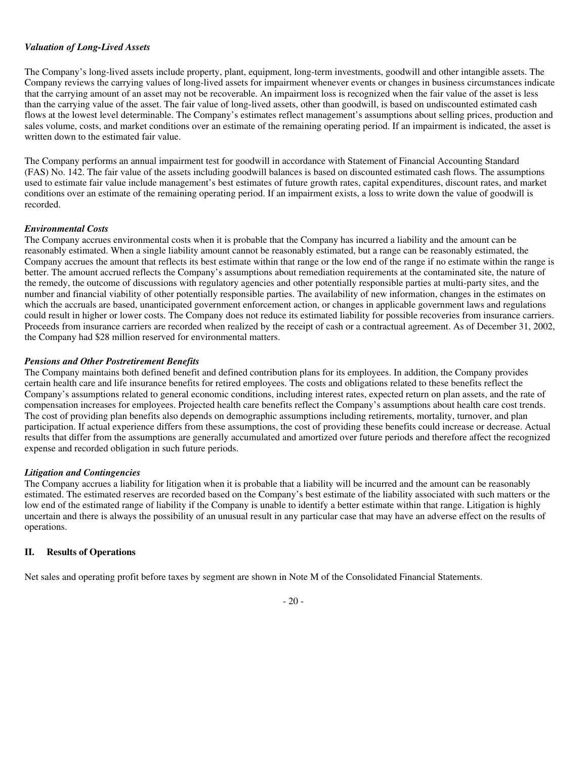## *Valuation of Long-Lived Assets*

The Company's long-lived assets include property, plant, equipment, long-term investments, goodwill and other intangible assets. The Company reviews the carrying values of long-lived assets for impairment whenever events or changes in business circumstances indicate that the carrying amount of an asset may not be recoverable. An impairment loss is recognized when the fair value of the asset is less than the carrying value of the asset. The fair value of long-lived assets, other than goodwill, is based on undiscounted estimated cash flows at the lowest level determinable. The Company's estimates reflect management's assumptions about selling prices, production and sales volume, costs, and market conditions over an estimate of the remaining operating period. If an impairment is indicated, the asset is written down to the estimated fair value.

The Company performs an annual impairment test for goodwill in accordance with Statement of Financial Accounting Standard (FAS) No. 142. The fair value of the assets including goodwill balances is based on discounted estimated cash flows. The assumptions used to estimate fair value include management's best estimates of future growth rates, capital expenditures, discount rates, and market conditions over an estimate of the remaining operating period. If an impairment exists, a loss to write down the value of goodwill is recorded.

## *Environmental Costs*

The Company accrues environmental costs when it is probable that the Company has incurred a liability and the amount can be reasonably estimated. When a single liability amount cannot be reasonably estimated, but a range can be reasonably estimated, the Company accrues the amount that reflects its best estimate within that range or the low end of the range if no estimate within the range is better. The amount accrued reflects the Company's assumptions about remediation requirements at the contaminated site, the nature of the remedy, the outcome of discussions with regulatory agencies and other potentially responsible parties at multi-party sites, and the number and financial viability of other potentially responsible parties. The availability of new information, changes in the estimates on which the accruals are based, unanticipated government enforcement action, or changes in applicable government laws and regulations could result in higher or lower costs. The Company does not reduce its estimated liability for possible recoveries from insurance carriers. Proceeds from insurance carriers are recorded when realized by the receipt of cash or a contractual agreement. As of December 31, 2002, the Company had \$28 million reserved for environmental matters.

## *Pensions and Other Postretirement Benefits*

The Company maintains both defined benefit and defined contribution plans for its employees. In addition, the Company provides certain health care and life insurance benefits for retired employees. The costs and obligations related to these benefits reflect the Company's assumptions related to general economic conditions, including interest rates, expected return on plan assets, and the rate of compensation increases for employees. Projected health care benefits reflect the Company's assumptions about health care cost trends. The cost of providing plan benefits also depends on demographic assumptions including retirements, mortality, turnover, and plan participation. If actual experience differs from these assumptions, the cost of providing these benefits could increase or decrease. Actual results that differ from the assumptions are generally accumulated and amortized over future periods and therefore affect the recognized expense and recorded obligation in such future periods.

#### *Litigation and Contingencies*

The Company accrues a liability for litigation when it is probable that a liability will be incurred and the amount can be reasonably estimated. The estimated reserves are recorded based on the Company's best estimate of the liability associated with such matters or the low end of the estimated range of liability if the Company is unable to identify a better estimate within that range. Litigation is highly uncertain and there is always the possibility of an unusual result in any particular case that may have an adverse effect on the results of operations.

#### **II. Results of Operations**

Net sales and operating profit before taxes by segment are shown in Note M of the Consolidated Financial Statements.

- 20 -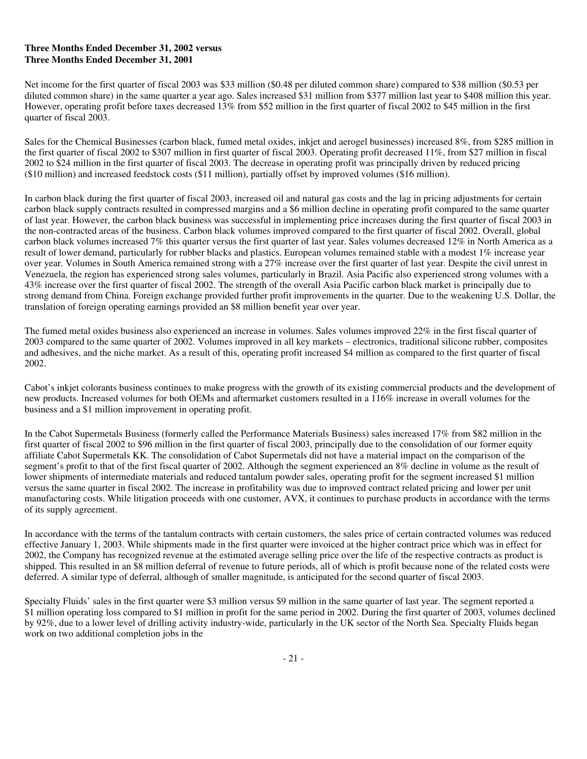## **Three Months Ended December 31, 2002 versus Three Months Ended December 31, 2001**

Net income for the first quarter of fiscal 2003 was \$33 million (\$0.48 per diluted common share) compared to \$38 million (\$0.53 per diluted common share) in the same quarter a year ago. Sales increased \$31 million from \$377 million last year to \$408 million this year. However, operating profit before taxes decreased 13% from \$52 million in the first quarter of fiscal 2002 to \$45 million in the first quarter of fiscal 2003.

Sales for the Chemical Businesses (carbon black, fumed metal oxides, inkjet and aerogel businesses) increased 8%, from \$285 million in the first quarter of fiscal 2002 to \$307 million in first quarter of fiscal 2003. Operating profit decreased 11%, from \$27 million in fiscal 2002 to \$24 million in the first quarter of fiscal 2003. The decrease in operating profit was principally driven by reduced pricing (\$10 million) and increased feedstock costs (\$11 million), partially offset by improved volumes (\$16 million).

In carbon black during the first quarter of fiscal 2003, increased oil and natural gas costs and the lag in pricing adjustments for certain carbon black supply contracts resulted in compressed margins and a \$6 million decline in operating profit compared to the same quarter of last year. However, the carbon black business was successful in implementing price increases during the first quarter of fiscal 2003 in the non-contracted areas of the business. Carbon black volumes improved compared to the first quarter of fiscal 2002. Overall, global carbon black volumes increased 7% this quarter versus the first quarter of last year. Sales volumes decreased 12% in North America as a result of lower demand, particularly for rubber blacks and plastics. European volumes remained stable with a modest 1% increase year over year. Volumes in South America remained strong with a 27% increase over the first quarter of last year. Despite the civil unrest in Venezuela, the region has experienced strong sales volumes, particularly in Brazil. Asia Pacific also experienced strong volumes with a 43% increase over the first quarter of fiscal 2002. The strength of the overall Asia Pacific carbon black market is principally due to strong demand from China. Foreign exchange provided further profit improvements in the quarter. Due to the weakening U.S. Dollar, the translation of foreign operating earnings provided an \$8 million benefit year over year.

The fumed metal oxides business also experienced an increase in volumes. Sales volumes improved 22% in the first fiscal quarter of 2003 compared to the same quarter of 2002. Volumes improved in all key markets – electronics, traditional silicone rubber, composites and adhesives, and the niche market. As a result of this, operating profit increased \$4 million as compared to the first quarter of fiscal 2002.

Cabot's inkjet colorants business continues to make progress with the growth of its existing commercial products and the development of new products. Increased volumes for both OEMs and aftermarket customers resulted in a 116% increase in overall volumes for the business and a \$1 million improvement in operating profit.

In the Cabot Supermetals Business (formerly called the Performance Materials Business) sales increased 17% from \$82 million in the first quarter of fiscal 2002 to \$96 million in the first quarter of fiscal 2003, principally due to the consolidation of our former equity affiliate Cabot Supermetals KK. The consolidation of Cabot Supermetals did not have a material impact on the comparison of the segment's profit to that of the first fiscal quarter of 2002. Although the segment experienced an 8% decline in volume as the result of lower shipments of intermediate materials and reduced tantalum powder sales, operating profit for the segment increased \$1 million versus the same quarter in fiscal 2002. The increase in profitability was due to improved contract related pricing and lower per unit manufacturing costs. While litigation proceeds with one customer, AVX, it continues to purchase products in accordance with the terms of its supply agreement.

In accordance with the terms of the tantalum contracts with certain customers, the sales price of certain contracted volumes was reduced effective January 1, 2003. While shipments made in the first quarter were invoiced at the higher contract price which was in effect for 2002, the Company has recognized revenue at the estimated average selling price over the life of the respective contracts as product is shipped. This resulted in an \$8 million deferral of revenue to future periods, all of which is profit because none of the related costs were deferred. A similar type of deferral, although of smaller magnitude, is anticipated for the second quarter of fiscal 2003.

Specialty Fluids' sales in the first quarter were \$3 million versus \$9 million in the same quarter of last year. The segment reported a \$1 million operating loss compared to \$1 million in profit for the same period in 2002. During the first quarter of 2003, volumes declined by 92%, due to a lower level of drilling activity industry-wide, particularly in the UK sector of the North Sea. Specialty Fluids began work on two additional completion jobs in the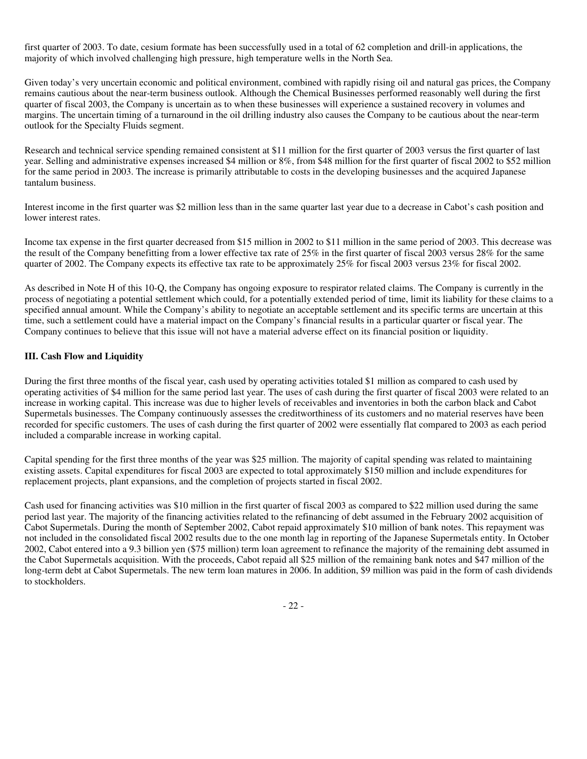first quarter of 2003. To date, cesium formate has been successfully used in a total of 62 completion and drill-in applications, the majority of which involved challenging high pressure, high temperature wells in the North Sea.

Given today's very uncertain economic and political environment, combined with rapidly rising oil and natural gas prices, the Company remains cautious about the near-term business outlook. Although the Chemical Businesses performed reasonably well during the first quarter of fiscal 2003, the Company is uncertain as to when these businesses will experience a sustained recovery in volumes and margins. The uncertain timing of a turnaround in the oil drilling industry also causes the Company to be cautious about the near-term outlook for the Specialty Fluids segment.

Research and technical service spending remained consistent at \$11 million for the first quarter of 2003 versus the first quarter of last year. Selling and administrative expenses increased \$4 million or 8%, from \$48 million for the first quarter of fiscal 2002 to \$52 million for the same period in 2003. The increase is primarily attributable to costs in the developing businesses and the acquired Japanese tantalum business.

Interest income in the first quarter was \$2 million less than in the same quarter last year due to a decrease in Cabot's cash position and lower interest rates.

Income tax expense in the first quarter decreased from \$15 million in 2002 to \$11 million in the same period of 2003. This decrease was the result of the Company benefitting from a lower effective tax rate of 25% in the first quarter of fiscal 2003 versus 28% for the same quarter of 2002. The Company expects its effective tax rate to be approximately 25% for fiscal 2003 versus 23% for fiscal 2002.

As described in Note H of this 10-Q, the Company has ongoing exposure to respirator related claims. The Company is currently in the process of negotiating a potential settlement which could, for a potentially extended period of time, limit its liability for these claims to a specified annual amount. While the Company's ability to negotiate an acceptable settlement and its specific terms are uncertain at this time, such a settlement could have a material impact on the Company's financial results in a particular quarter or fiscal year. The Company continues to believe that this issue will not have a material adverse effect on its financial position or liquidity.

## **III. Cash Flow and Liquidity**

During the first three months of the fiscal year, cash used by operating activities totaled \$1 million as compared to cash used by operating activities of \$4 million for the same period last year. The uses of cash during the first quarter of fiscal 2003 were related to an increase in working capital. This increase was due to higher levels of receivables and inventories in both the carbon black and Cabot Supermetals businesses. The Company continuously assesses the creditworthiness of its customers and no material reserves have been recorded for specific customers. The uses of cash during the first quarter of 2002 were essentially flat compared to 2003 as each period included a comparable increase in working capital.

Capital spending for the first three months of the year was \$25 million. The majority of capital spending was related to maintaining existing assets. Capital expenditures for fiscal 2003 are expected to total approximately \$150 million and include expenditures for replacement projects, plant expansions, and the completion of projects started in fiscal 2002.

Cash used for financing activities was \$10 million in the first quarter of fiscal 2003 as compared to \$22 million used during the same period last year. The majority of the financing activities related to the refinancing of debt assumed in the February 2002 acquisition of Cabot Supermetals. During the month of September 2002, Cabot repaid approximately \$10 million of bank notes. This repayment was not included in the consolidated fiscal 2002 results due to the one month lag in reporting of the Japanese Supermetals entity. In October 2002, Cabot entered into a 9.3 billion yen (\$75 million) term loan agreement to refinance the majority of the remaining debt assumed in the Cabot Supermetals acquisition. With the proceeds, Cabot repaid all \$25 million of the remaining bank notes and \$47 million of the long-term debt at Cabot Supermetals. The new term loan matures in 2006. In addition, \$9 million was paid in the form of cash dividends to stockholders.

 $-22-$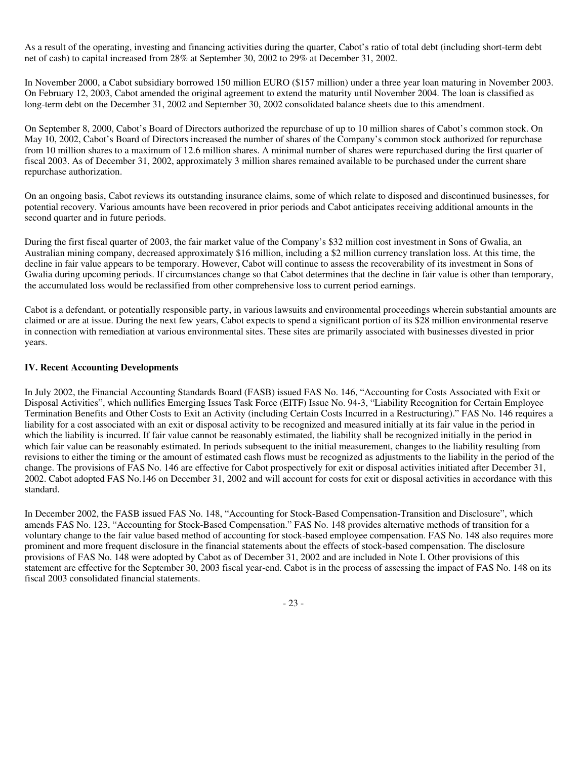As a result of the operating, investing and financing activities during the quarter, Cabot's ratio of total debt (including short-term debt net of cash) to capital increased from 28% at September 30, 2002 to 29% at December 31, 2002.

In November 2000, a Cabot subsidiary borrowed 150 million EURO (\$157 million) under a three year loan maturing in November 2003. On February 12, 2003, Cabot amended the original agreement to extend the maturity until November 2004. The loan is classified as long-term debt on the December 31, 2002 and September 30, 2002 consolidated balance sheets due to this amendment.

On September 8, 2000, Cabot's Board of Directors authorized the repurchase of up to 10 million shares of Cabot's common stock. On May 10, 2002, Cabot's Board of Directors increased the number of shares of the Company's common stock authorized for repurchase from 10 million shares to a maximum of 12.6 million shares. A minimal number of shares were repurchased during the first quarter of fiscal 2003. As of December 31, 2002, approximately 3 million shares remained available to be purchased under the current share repurchase authorization.

On an ongoing basis, Cabot reviews its outstanding insurance claims, some of which relate to disposed and discontinued businesses, for potential recovery. Various amounts have been recovered in prior periods and Cabot anticipates receiving additional amounts in the second quarter and in future periods.

During the first fiscal quarter of 2003, the fair market value of the Company's \$32 million cost investment in Sons of Gwalia, an Australian mining company, decreased approximately \$16 million, including a \$2 million currency translation loss. At this time, the decline in fair value appears to be temporary. However, Cabot will continue to assess the recoverability of its investment in Sons of Gwalia during upcoming periods. If circumstances change so that Cabot determines that the decline in fair value is other than temporary, the accumulated loss would be reclassified from other comprehensive loss to current period earnings.

Cabot is a defendant, or potentially responsible party, in various lawsuits and environmental proceedings wherein substantial amounts are claimed or are at issue. During the next few years, Cabot expects to spend a significant portion of its \$28 million environmental reserve in connection with remediation at various environmental sites. These sites are primarily associated with businesses divested in prior years.

## **IV. Recent Accounting Developments**

In July 2002, the Financial Accounting Standards Board (FASB) issued FAS No. 146, "Accounting for Costs Associated with Exit or Disposal Activities", which nullifies Emerging Issues Task Force (EITF) Issue No. 94-3, "Liability Recognition for Certain Employee Termination Benefits and Other Costs to Exit an Activity (including Certain Costs Incurred in a Restructuring)." FAS No. 146 requires a liability for a cost associated with an exit or disposal activity to be recognized and measured initially at its fair value in the period in which the liability is incurred. If fair value cannot be reasonably estimated, the liability shall be recognized initially in the period in which fair value can be reasonably estimated. In periods subsequent to the initial measurement, changes to the liability resulting from revisions to either the timing or the amount of estimated cash flows must be recognized as adjustments to the liability in the period of the change. The provisions of FAS No. 146 are effective for Cabot prospectively for exit or disposal activities initiated after December 31, 2002. Cabot adopted FAS No.146 on December 31, 2002 and will account for costs for exit or disposal activities in accordance with this standard.

In December 2002, the FASB issued FAS No. 148, "Accounting for Stock-Based Compensation-Transition and Disclosure", which amends FAS No. 123, "Accounting for Stock-Based Compensation." FAS No. 148 provides alternative methods of transition for a voluntary change to the fair value based method of accounting for stock-based employee compensation. FAS No. 148 also requires more prominent and more frequent disclosure in the financial statements about the effects of stock-based compensation. The disclosure provisions of FAS No. 148 were adopted by Cabot as of December 31, 2002 and are included in Note I. Other provisions of this statement are effective for the September 30, 2003 fiscal year-end. Cabot is in the process of assessing the impact of FAS No. 148 on its fiscal 2003 consolidated financial statements.

- 23 -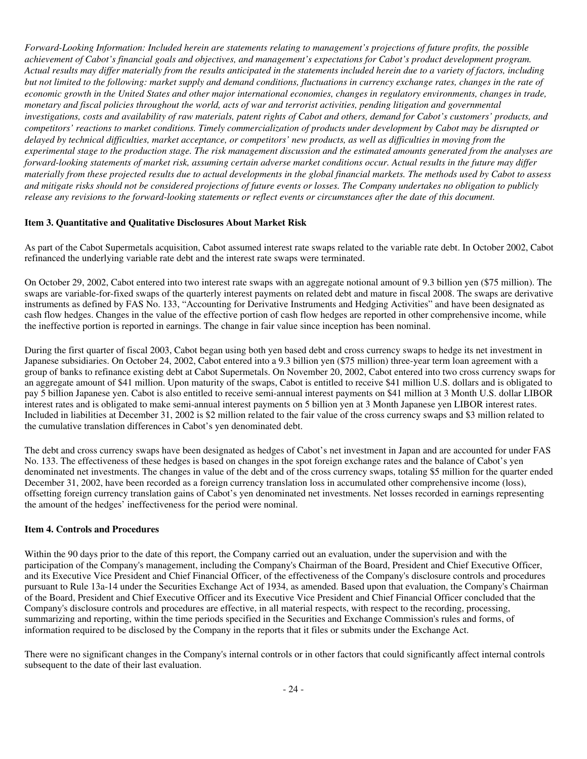*Forward-Looking Information: Included herein are statements relating to management's projections of future profits, the possible achievement of Cabot's financial goals and objectives, and management's expectations for Cabot's product development program. Actual results may differ materially from the results anticipated in the statements included herein due to a variety of factors, including but not limited to the following: market supply and demand conditions, fluctuations in currency exchange rates, changes in the rate of economic growth in the United States and other major international economies, changes in regulatory environments, changes in trade, monetary and fiscal policies throughout the world, acts of war and terrorist activities, pending litigation and governmental investigations, costs and availability of raw materials, patent rights of Cabot and others, demand for Cabot's customers' products, and competitors' reactions to market conditions. Timely commercialization of products under development by Cabot may be disrupted or delayed by technical difficulties, market acceptance, or competitors' new products, as well as difficulties in moving from the experimental stage to the production stage. The risk management discussion and the estimated amounts generated from the analyses are forward-looking statements of market risk, assuming certain adverse market conditions occur. Actual results in the future may differ materially from these projected results due to actual developments in the global financial markets. The methods used by Cabot to assess and mitigate risks should not be considered projections of future events or losses. The Company undertakes no obligation to publicly release any revisions to the forward-looking statements or reflect events or circumstances after the date of this document.*

## **Item 3. Quantitative and Qualitative Disclosures About Market Risk**

As part of the Cabot Supermetals acquisition, Cabot assumed interest rate swaps related to the variable rate debt. In October 2002, Cabot refinanced the underlying variable rate debt and the interest rate swaps were terminated.

On October 29, 2002, Cabot entered into two interest rate swaps with an aggregate notional amount of 9.3 billion yen (\$75 million). The swaps are variable-for-fixed swaps of the quarterly interest payments on related debt and mature in fiscal 2008. The swaps are derivative instruments as defined by FAS No. 133, "Accounting for Derivative Instruments and Hedging Activities" and have been designated as cash flow hedges. Changes in the value of the effective portion of cash flow hedges are reported in other comprehensive income, while the ineffective portion is reported in earnings. The change in fair value since inception has been nominal.

During the first quarter of fiscal 2003, Cabot began using both yen based debt and cross currency swaps to hedge its net investment in Japanese subsidiaries. On October 24, 2002, Cabot entered into a 9.3 billion yen (\$75 million) three-year term loan agreement with a group of banks to refinance existing debt at Cabot Supermetals. On November 20, 2002, Cabot entered into two cross currency swaps for an aggregate amount of \$41 million. Upon maturity of the swaps, Cabot is entitled to receive \$41 million U.S. dollars and is obligated to pay 5 billion Japanese yen. Cabot is also entitled to receive semi-annual interest payments on \$41 million at 3 Month U.S. dollar LIBOR interest rates and is obligated to make semi-annual interest payments on 5 billion yen at 3 Month Japanese yen LIBOR interest rates. Included in liabilities at December 31, 2002 is \$2 million related to the fair value of the cross currency swaps and \$3 million related to the cumulative translation differences in Cabot's yen denominated debt.

The debt and cross currency swaps have been designated as hedges of Cabot's net investment in Japan and are accounted for under FAS No. 133. The effectiveness of these hedges is based on changes in the spot foreign exchange rates and the balance of Cabot's yen denominated net investments. The changes in value of the debt and of the cross currency swaps, totaling \$5 million for the quarter ended December 31, 2002, have been recorded as a foreign currency translation loss in accumulated other comprehensive income (loss), offsetting foreign currency translation gains of Cabot's yen denominated net investments. Net losses recorded in earnings representing the amount of the hedges' ineffectiveness for the period were nominal.

#### **Item 4. Controls and Procedures**

Within the 90 days prior to the date of this report, the Company carried out an evaluation, under the supervision and with the participation of the Company's management, including the Company's Chairman of the Board, President and Chief Executive Officer, and its Executive Vice President and Chief Financial Officer, of the effectiveness of the Company's disclosure controls and procedures pursuant to Rule 13a-14 under the Securities Exchange Act of 1934, as amended. Based upon that evaluation, the Company's Chairman of the Board, President and Chief Executive Officer and its Executive Vice President and Chief Financial Officer concluded that the Company's disclosure controls and procedures are effective, in all material respects, with respect to the recording, processing, summarizing and reporting, within the time periods specified in the Securities and Exchange Commission's rules and forms, of information required to be disclosed by the Company in the reports that it files or submits under the Exchange Act.

There were no significant changes in the Company's internal controls or in other factors that could significantly affect internal controls subsequent to the date of their last evaluation.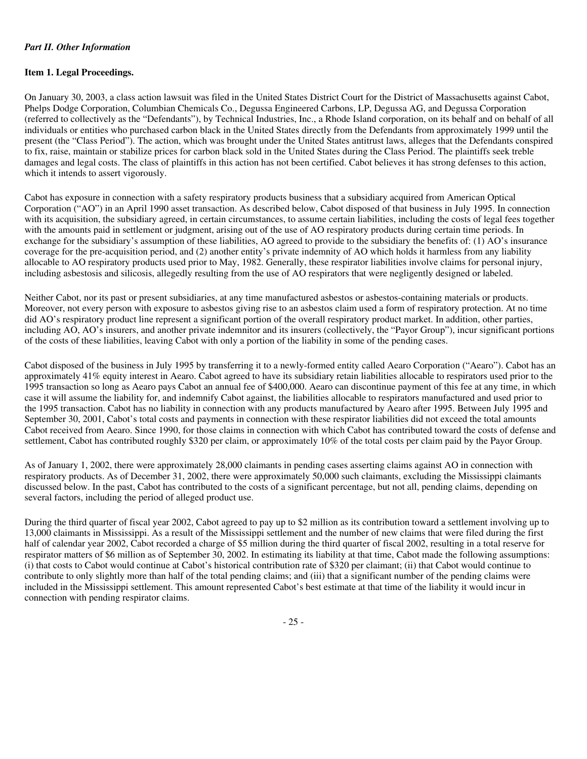## *Part II. Other Information*

## **Item 1. Legal Proceedings.**

On January 30, 2003, a class action lawsuit was filed in the United States District Court for the District of Massachusetts against Cabot, Phelps Dodge Corporation, Columbian Chemicals Co., Degussa Engineered Carbons, LP, Degussa AG, and Degussa Corporation (referred to collectively as the "Defendants"), by Technical Industries, Inc., a Rhode Island corporation, on its behalf and on behalf of all individuals or entities who purchased carbon black in the United States directly from the Defendants from approximately 1999 until the present (the "Class Period"). The action, which was brought under the United States antitrust laws, alleges that the Defendants conspired to fix, raise, maintain or stabilize prices for carbon black sold in the United States during the Class Period. The plaintiffs seek treble damages and legal costs. The class of plaintiffs in this action has not been certified. Cabot believes it has strong defenses to this action, which it intends to assert vigorously.

Cabot has exposure in connection with a safety respiratory products business that a subsidiary acquired from American Optical Corporation ("AO") in an April 1990 asset transaction. As described below, Cabot disposed of that business in July 1995. In connection with its acquisition, the subsidiary agreed, in certain circumstances, to assume certain liabilities, including the costs of legal fees together with the amounts paid in settlement or judgment, arising out of the use of AO respiratory products during certain time periods. In exchange for the subsidiary's assumption of these liabilities, AO agreed to provide to the subsidiary the benefits of: (1) AO's insurance coverage for the pre-acquisition period, and (2) another entity's private indemnity of AO which holds it harmless from any liability allocable to AO respiratory products used prior to May, 1982. Generally, these respirator liabilities involve claims for personal injury, including asbestosis and silicosis, allegedly resulting from the use of AO respirators that were negligently designed or labeled.

Neither Cabot, nor its past or present subsidiaries, at any time manufactured asbestos or asbestos-containing materials or products. Moreover, not every person with exposure to asbestos giving rise to an asbestos claim used a form of respiratory protection. At no time did AO's respiratory product line represent a significant portion of the overall respiratory product market. In addition, other parties, including AO, AO's insurers, and another private indemnitor and its insurers (collectively, the "Payor Group"), incur significant portions of the costs of these liabilities, leaving Cabot with only a portion of the liability in some of the pending cases.

Cabot disposed of the business in July 1995 by transferring it to a newly-formed entity called Aearo Corporation ("Aearo"). Cabot has an approximately 41% equity interest in Aearo. Cabot agreed to have its subsidiary retain liabilities allocable to respirators used prior to the 1995 transaction so long as Aearo pays Cabot an annual fee of \$400,000. Aearo can discontinue payment of this fee at any time, in which case it will assume the liability for, and indemnify Cabot against, the liabilities allocable to respirators manufactured and used prior to the 1995 transaction. Cabot has no liability in connection with any products manufactured by Aearo after 1995. Between July 1995 and September 30, 2001, Cabot's total costs and payments in connection with these respirator liabilities did not exceed the total amounts Cabot received from Aearo. Since 1990, for those claims in connection with which Cabot has contributed toward the costs of defense and settlement, Cabot has contributed roughly \$320 per claim, or approximately 10% of the total costs per claim paid by the Payor Group.

As of January 1, 2002, there were approximately 28,000 claimants in pending cases asserting claims against AO in connection with respiratory products. As of December 31, 2002, there were approximately 50,000 such claimants, excluding the Mississippi claimants discussed below. In the past, Cabot has contributed to the costs of a significant percentage, but not all, pending claims, depending on several factors, including the period of alleged product use.

During the third quarter of fiscal year 2002, Cabot agreed to pay up to \$2 million as its contribution toward a settlement involving up to 13,000 claimants in Mississippi. As a result of the Mississippi settlement and the number of new claims that were filed during the first half of calendar year 2002, Cabot recorded a charge of \$5 million during the third quarter of fiscal 2002, resulting in a total reserve for respirator matters of \$6 million as of September 30, 2002. In estimating its liability at that time, Cabot made the following assumptions: (i) that costs to Cabot would continue at Cabot's historical contribution rate of \$320 per claimant; (ii) that Cabot would continue to contribute to only slightly more than half of the total pending claims; and (iii) that a significant number of the pending claims were included in the Mississippi settlement. This amount represented Cabot's best estimate at that time of the liability it would incur in connection with pending respirator claims.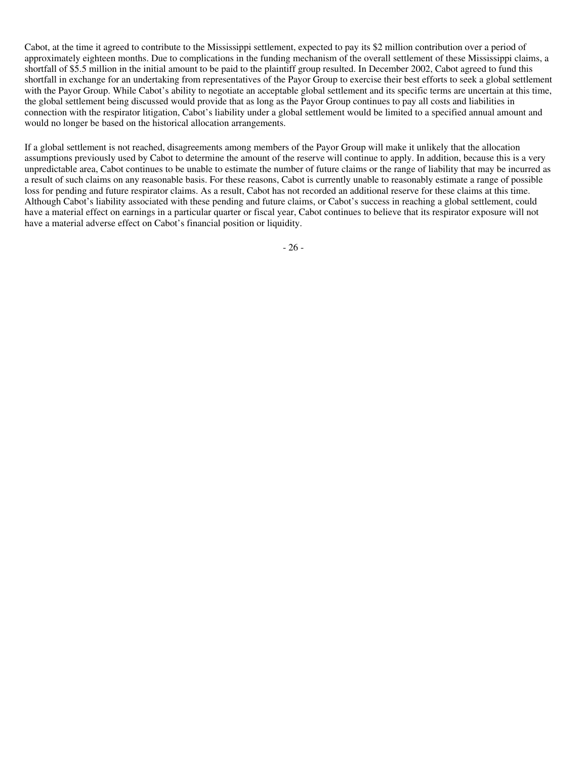Cabot, at the time it agreed to contribute to the Mississippi settlement, expected to pay its \$2 million contribution over a period of approximately eighteen months. Due to complications in the funding mechanism of the overall settlement of these Mississippi claims, a shortfall of \$5.5 million in the initial amount to be paid to the plaintiff group resulted. In December 2002, Cabot agreed to fund this shortfall in exchange for an undertaking from representatives of the Payor Group to exercise their best efforts to seek a global settlement with the Payor Group. While Cabot's ability to negotiate an acceptable global settlement and its specific terms are uncertain at this time, the global settlement being discussed would provide that as long as the Payor Group continues to pay all costs and liabilities in connection with the respirator litigation, Cabot's liability under a global settlement would be limited to a specified annual amount and would no longer be based on the historical allocation arrangements.

If a global settlement is not reached, disagreements among members of the Payor Group will make it unlikely that the allocation assumptions previously used by Cabot to determine the amount of the reserve will continue to apply. In addition, because this is a very unpredictable area, Cabot continues to be unable to estimate the number of future claims or the range of liability that may be incurred as a result of such claims on any reasonable basis. For these reasons, Cabot is currently unable to reasonably estimate a range of possible loss for pending and future respirator claims. As a result, Cabot has not recorded an additional reserve for these claims at this time. Although Cabot's liability associated with these pending and future claims, or Cabot's success in reaching a global settlement, could have a material effect on earnings in a particular quarter or fiscal year, Cabot continues to believe that its respirator exposure will not have a material adverse effect on Cabot's financial position or liquidity.

- 26 -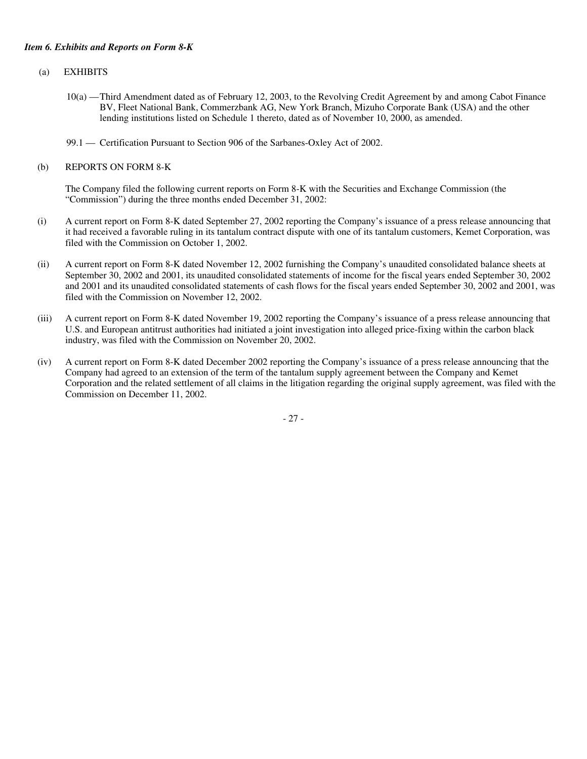#### *Item 6. Exhibits and Reports on Form 8-K*

## (a) EXHIBITS

- 10(a) Third Amendment dated as of February 12, 2003, to the Revolving Credit Agreement by and among Cabot Finance BV, Fleet National Bank, Commerzbank AG, New York Branch, Mizuho Corporate Bank (USA) and the other lending institutions listed on Schedule 1 thereto, dated as of November 10, 2000, as amended.
- 99.1 Certification Pursuant to Section 906 of the Sarbanes-Oxley Act of 2002.

## (b) REPORTS ON FORM 8-K

 The Company filed the following current reports on Form 8-K with the Securities and Exchange Commission (the "Commission") during the three months ended December 31, 2002:

- (i) A current report on Form 8-K dated September 27, 2002 reporting the Company's issuance of a press release announcing that it had received a favorable ruling in its tantalum contract dispute with one of its tantalum customers, Kemet Corporation, was filed with the Commission on October 1, 2002.
- (ii) A current report on Form 8-K dated November 12, 2002 furnishing the Company's unaudited consolidated balance sheets at September 30, 2002 and 2001, its unaudited consolidated statements of income for the fiscal years ended September 30, 2002 and 2001 and its unaudited consolidated statements of cash flows for the fiscal years ended September 30, 2002 and 2001, was filed with the Commission on November 12, 2002.
- (iii) A current report on Form 8-K dated November 19, 2002 reporting the Company's issuance of a press release announcing that U.S. and European antitrust authorities had initiated a joint investigation into alleged price-fixing within the carbon black industry, was filed with the Commission on November 20, 2002.
- (iv) A current report on Form 8-K dated December 2002 reporting the Company's issuance of a press release announcing that the Company had agreed to an extension of the term of the tantalum supply agreement between the Company and Kemet Corporation and the related settlement of all claims in the litigation regarding the original supply agreement, was filed with the Commission on December 11, 2002.

- 27 -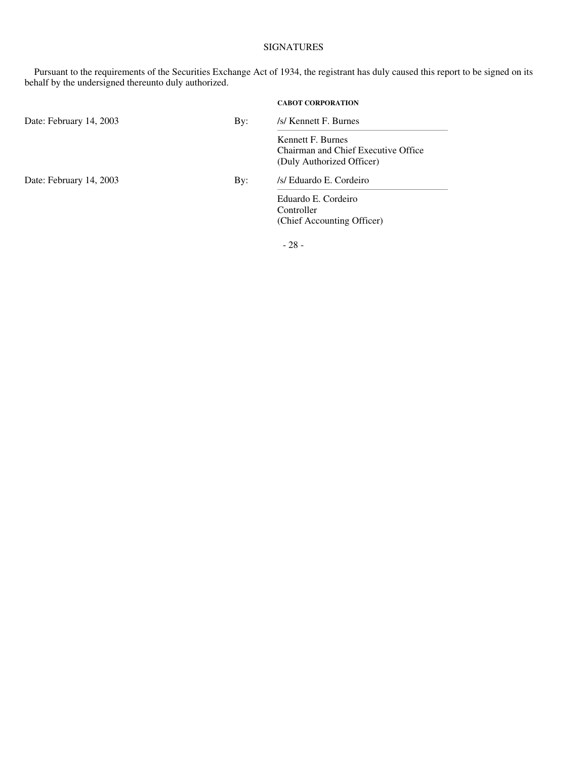## SIGNATURES

 Pursuant to the requirements of the Securities Exchange Act of 1934, the registrant has duly caused this report to be signed on its behalf by the undersigned thereunto duly authorized.

|                         |     | <b>CABOT CORPORATION</b>                                                              |
|-------------------------|-----|---------------------------------------------------------------------------------------|
| Date: February 14, 2003 | By: | /s/ Kennett F. Burnes                                                                 |
|                         |     | Kennett F. Burnes<br>Chairman and Chief Executive Office<br>(Duly Authorized Officer) |
| Date: February 14, 2003 | By: | /s/ Eduardo E. Cordeiro                                                               |
|                         |     | Eduardo E. Cordeiro<br>Controller<br>(Chief Accounting Officer)                       |
|                         |     | $-28-$                                                                                |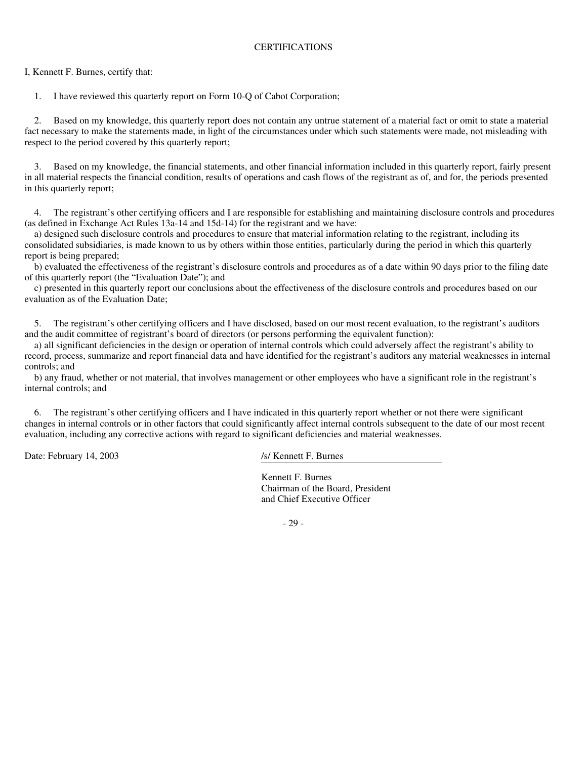## **CERTIFICATIONS**

I, Kennett F. Burnes, certify that:

1. I have reviewed this quarterly report on Form 10-Q of Cabot Corporation;

 2. Based on my knowledge, this quarterly report does not contain any untrue statement of a material fact or omit to state a material fact necessary to make the statements made, in light of the circumstances under which such statements were made, not misleading with respect to the period covered by this quarterly report;

 3. Based on my knowledge, the financial statements, and other financial information included in this quarterly report, fairly present in all material respects the financial condition, results of operations and cash flows of the registrant as of, and for, the periods presented in this quarterly report;

 4. The registrant's other certifying officers and I are responsible for establishing and maintaining disclosure controls and procedures (as defined in Exchange Act Rules 13a-14 and 15d-14) for the registrant and we have:

 a) designed such disclosure controls and procedures to ensure that material information relating to the registrant, including its consolidated subsidiaries, is made known to us by others within those entities, particularly during the period in which this quarterly report is being prepared;

 b) evaluated the effectiveness of the registrant's disclosure controls and procedures as of a date within 90 days prior to the filing date of this quarterly report (the "Evaluation Date"); and

 c) presented in this quarterly report our conclusions about the effectiveness of the disclosure controls and procedures based on our evaluation as of the Evaluation Date;

 5. The registrant's other certifying officers and I have disclosed, based on our most recent evaluation, to the registrant's auditors and the audit committee of registrant's board of directors (or persons performing the equivalent function):

 a) all significant deficiencies in the design or operation of internal controls which could adversely affect the registrant's ability to record, process, summarize and report financial data and have identified for the registrant's auditors any material weaknesses in internal controls; and

 b) any fraud, whether or not material, that involves management or other employees who have a significant role in the registrant's internal controls; and

 6. The registrant's other certifying officers and I have indicated in this quarterly report whether or not there were significant changes in internal controls or in other factors that could significantly affect internal controls subsequent to the date of our most recent evaluation, including any corrective actions with regard to significant deficiencies and material weaknesses.

Date: February 14, 2003 /s/ Kennett F. Burnes

Kennett F. Burnes Chairman of the Board, President and Chief Executive Officer

- 29 -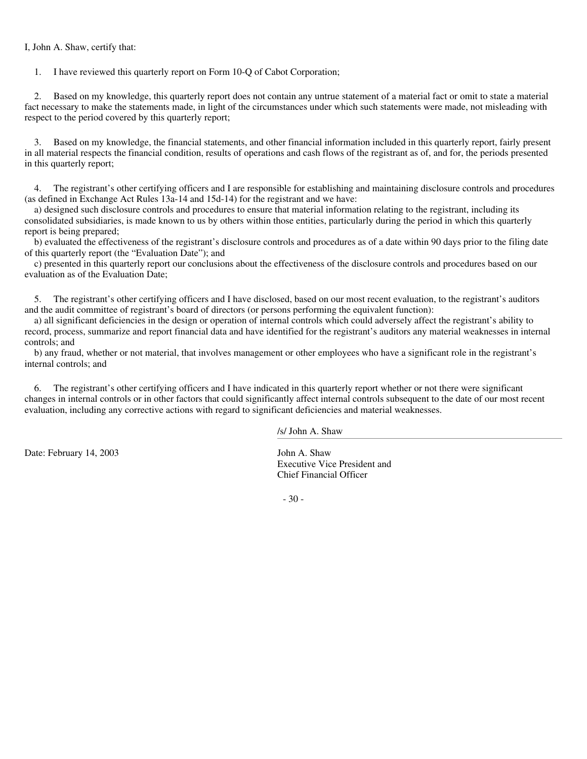## I, John A. Shaw, certify that:

## 1. I have reviewed this quarterly report on Form 10-Q of Cabot Corporation;

 2. Based on my knowledge, this quarterly report does not contain any untrue statement of a material fact or omit to state a material fact necessary to make the statements made, in light of the circumstances under which such statements were made, not misleading with respect to the period covered by this quarterly report;

 3. Based on my knowledge, the financial statements, and other financial information included in this quarterly report, fairly present in all material respects the financial condition, results of operations and cash flows of the registrant as of, and for, the periods presented in this quarterly report;

 4. The registrant's other certifying officers and I are responsible for establishing and maintaining disclosure controls and procedures (as defined in Exchange Act Rules 13a-14 and 15d-14) for the registrant and we have:

 a) designed such disclosure controls and procedures to ensure that material information relating to the registrant, including its consolidated subsidiaries, is made known to us by others within those entities, particularly during the period in which this quarterly report is being prepared;

 b) evaluated the effectiveness of the registrant's disclosure controls and procedures as of a date within 90 days prior to the filing date of this quarterly report (the "Evaluation Date"); and

 c) presented in this quarterly report our conclusions about the effectiveness of the disclosure controls and procedures based on our evaluation as of the Evaluation Date;

 5. The registrant's other certifying officers and I have disclosed, based on our most recent evaluation, to the registrant's auditors and the audit committee of registrant's board of directors (or persons performing the equivalent function):

 a) all significant deficiencies in the design or operation of internal controls which could adversely affect the registrant's ability to record, process, summarize and report financial data and have identified for the registrant's auditors any material weaknesses in internal controls; and

 b) any fraud, whether or not material, that involves management or other employees who have a significant role in the registrant's internal controls; and

 6. The registrant's other certifying officers and I have indicated in this quarterly report whether or not there were significant changes in internal controls or in other factors that could significantly affect internal controls subsequent to the date of our most recent evaluation, including any corrective actions with regard to significant deficiencies and material weaknesses.

/s/ John A. Shaw

Date: February 14, 2003 John A. Shaw

Executive Vice President and Chief Financial Officer

- 30 -